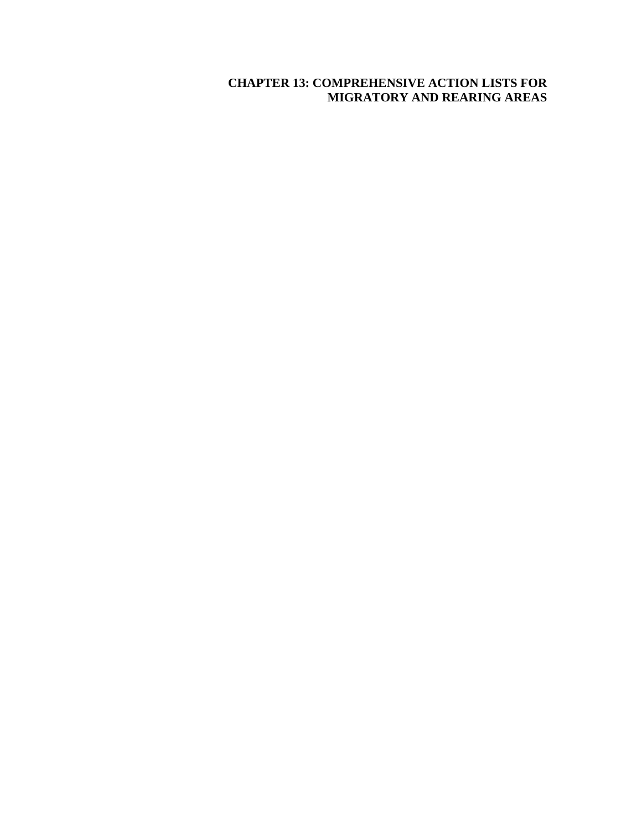# **CHAPTER 13: COMPREHENSIVE ACTION LISTS FOR MIGRATORY AND REARING AREAS**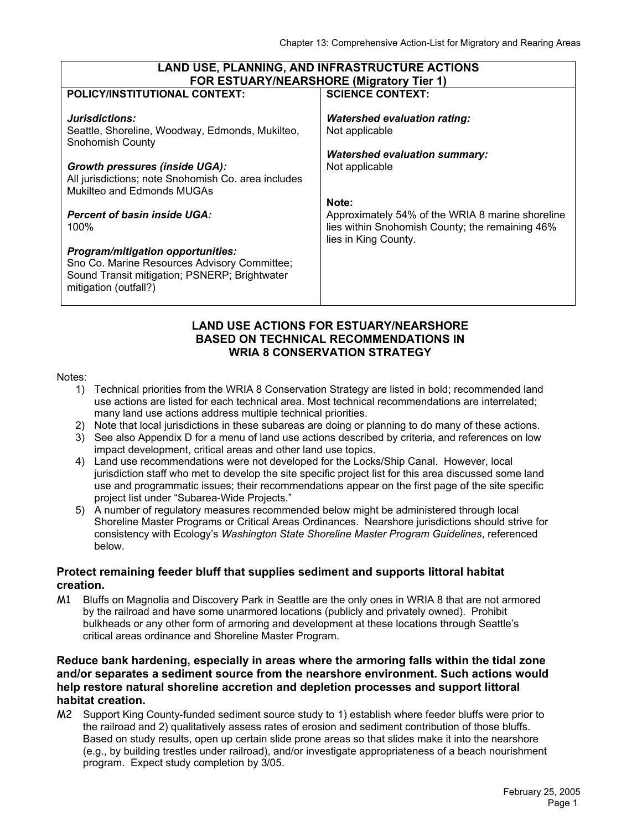| <b>LAND USE, PLANNING, AND INFRASTRUCTURE ACTIONS</b> |                                                  |  |  |  |  |  |  |  |  |  |
|-------------------------------------------------------|--------------------------------------------------|--|--|--|--|--|--|--|--|--|
| <b>FOR ESTUARY/NEARSHORE (Migratory Tier 1)</b>       |                                                  |  |  |  |  |  |  |  |  |  |
| POLICY/INSTITUTIONAL CONTEXT:                         | <b>SCIENCE CONTEXT:</b>                          |  |  |  |  |  |  |  |  |  |
|                                                       |                                                  |  |  |  |  |  |  |  |  |  |
| Jurisdictions:                                        | <b>Watershed evaluation rating:</b>              |  |  |  |  |  |  |  |  |  |
| Seattle, Shoreline, Woodway, Edmonds, Mukilteo,       | Not applicable                                   |  |  |  |  |  |  |  |  |  |
| <b>Snohomish County</b>                               |                                                  |  |  |  |  |  |  |  |  |  |
|                                                       | <b>Watershed evaluation summary:</b>             |  |  |  |  |  |  |  |  |  |
| <b>Growth pressures (inside UGA):</b>                 | Not applicable                                   |  |  |  |  |  |  |  |  |  |
| All jurisdictions; note Snohomish Co. area includes   |                                                  |  |  |  |  |  |  |  |  |  |
| Mukilteo and Edmonds MUGAs                            |                                                  |  |  |  |  |  |  |  |  |  |
|                                                       | Note:                                            |  |  |  |  |  |  |  |  |  |
| <b>Percent of basin inside UGA:</b>                   | Approximately 54% of the WRIA 8 marine shoreline |  |  |  |  |  |  |  |  |  |
| 100%                                                  | lies within Snohomish County; the remaining 46%  |  |  |  |  |  |  |  |  |  |
|                                                       | lies in King County.                             |  |  |  |  |  |  |  |  |  |
| <b>Program/mitigation opportunities:</b>              |                                                  |  |  |  |  |  |  |  |  |  |
| Sno Co. Marine Resources Advisory Committee;          |                                                  |  |  |  |  |  |  |  |  |  |
| Sound Transit mitigation; PSNERP; Brightwater         |                                                  |  |  |  |  |  |  |  |  |  |
| mitigation (outfall?)                                 |                                                  |  |  |  |  |  |  |  |  |  |
|                                                       |                                                  |  |  |  |  |  |  |  |  |  |

#### **LAND USE ACTIONS FOR ESTUARY/NEARSHORE BASED ON TECHNICAL RECOMMENDATIONS IN WRIA 8 CONSERVATION STRATEGY**

#### Notes:

- 1) Technical priorities from the WRIA 8 Conservation Strategy are listed in bold; recommended land use actions are listed for each technical area. Most technical recommendations are interrelated; many land use actions address multiple technical priorities.
- 2) Note that local jurisdictions in these subareas are doing or planning to do many of these actions.
- 3) See also Appendix D for a menu of land use actions described by criteria, and references on low impact development, critical areas and other land use topics.
- 4) Land use recommendations were not developed for the Locks/Ship Canal. However, local jurisdiction staff who met to develop the site specific project list for this area discussed some land use and programmatic issues; their recommendations appear on the first page of the site specific project list under "Subarea-Wide Projects."
- 5) A number of regulatory measures recommended below might be administered through local Shoreline Master Programs or Critical Areas Ordinances. Nearshore jurisdictions should strive for consistency with Ecology's *Washington State Shoreline Master Program Guidelines*, referenced below.

#### **Protect remaining feeder bluff that supplies sediment and supports littoral habitat creation.**

M1 Bluffs on Magnolia and Discovery Park in Seattle are the only ones in WRIA 8 that are not armored by the railroad and have some unarmored locations (publicly and privately owned). Prohibit bulkheads or any other form of armoring and development at these locations through Seattle's critical areas ordinance and Shoreline Master Program.

#### **Reduce bank hardening, especially in areas where the armoring falls within the tidal zone and/or separates a sediment source from the nearshore environment. Such actions would help restore natural shoreline accretion and depletion processes and support littoral habitat creation.**

M2 Support King County-funded sediment source study to 1) establish where feeder bluffs were prior to the railroad and 2) qualitatively assess rates of erosion and sediment contribution of those bluffs. Based on study results, open up certain slide prone areas so that slides make it into the nearshore (e.g., by building trestles under railroad), and/or investigate appropriateness of a beach nourishment program. Expect study completion by 3/05.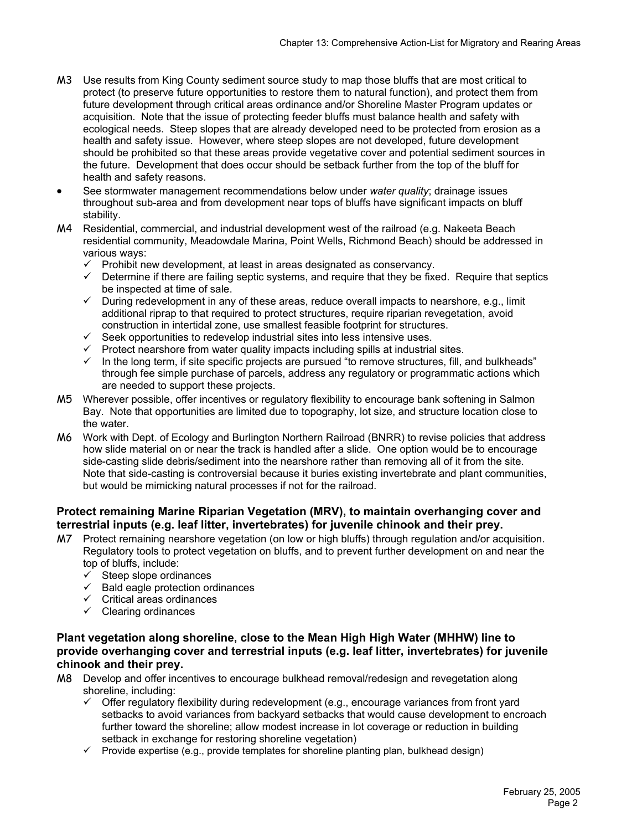- M3 Use results from King County sediment source study to map those bluffs that are most critical to protect (to preserve future opportunities to restore them to natural function), and protect them from future development through critical areas ordinance and/or Shoreline Master Program updates or acquisition. Note that the issue of protecting feeder bluffs must balance health and safety with ecological needs. Steep slopes that are already developed need to be protected from erosion as a health and safety issue. However, where steep slopes are not developed, future development should be prohibited so that these areas provide vegetative cover and potential sediment sources in the future. Development that does occur should be setback further from the top of the bluff for health and safety reasons.
- See stormwater management recommendations below under *water quality*; drainage issues throughout sub-area and from development near tops of bluffs have significant impacts on bluff stability.
- M4 Residential, commercial, and industrial development west of the railroad (e.g. Nakeeta Beach residential community, Meadowdale Marina, Point Wells, Richmond Beach) should be addressed in various ways:
	- $\checkmark$  Prohibit new development, at least in areas designated as conservancy.
	- $\checkmark$  Determine if there are failing septic systems, and require that they be fixed. Require that septics be inspected at time of sale.
	- $\checkmark$  During redevelopment in any of these areas, reduce overall impacts to nearshore, e.g., limit additional riprap to that required to protect structures, require riparian revegetation, avoid construction in intertidal zone, use smallest feasible footprint for structures.
	- $\checkmark$  Seek opportunities to redevelop industrial sites into less intensive uses.
	- $\checkmark$  Protect nearshore from water quality impacts including spills at industrial sites.
	- $\checkmark$  In the long term, if site specific projects are pursued "to remove structures, fill, and bulkheads" through fee simple purchase of parcels, address any regulatory or programmatic actions which are needed to support these projects.
- M5 Wherever possible, offer incentives or regulatory flexibility to encourage bank softening in Salmon Bay. Note that opportunities are limited due to topography, lot size, and structure location close to the water.
- M6 Work with Dept. of Ecology and Burlington Northern Railroad (BNRR) to revise policies that address how slide material on or near the track is handled after a slide. One option would be to encourage side-casting slide debris/sediment into the nearshore rather than removing all of it from the site. Note that side-casting is controversial because it buries existing invertebrate and plant communities, but would be mimicking natural processes if not for the railroad.

#### **Protect remaining Marine Riparian Vegetation (MRV), to maintain overhanging cover and terrestrial inputs (e.g. leaf litter, invertebrates) for juvenile chinook and their prey.**

- M7 Protect remaining nearshore vegetation (on low or high bluffs) through regulation and/or acquisition. Regulatory tools to protect vegetation on bluffs, and to prevent further development on and near the top of bluffs, include:
	- $\checkmark$  Steep slope ordinances
	- $\checkmark$  Bald eagle protection ordinances
	- $\checkmark$  Critical areas ordinances
	- $\checkmark$  Clearing ordinances

#### **Plant vegetation along shoreline, close to the Mean High High Water (MHHW) line to provide overhanging cover and terrestrial inputs (e.g. leaf litter, invertebrates) for juvenile chinook and their prey.**

- M8 Develop and offer incentives to encourage bulkhead removal/redesign and revegetation along shoreline, including:
	- $\checkmark$  Offer regulatory flexibility during redevelopment (e.g., encourage variances from front yard setbacks to avoid variances from backyard setbacks that would cause development to encroach further toward the shoreline; allow modest increase in lot coverage or reduction in building setback in exchange for restoring shoreline vegetation)
	- $\checkmark$  Provide expertise (e.g., provide templates for shoreline planting plan, bulkhead design)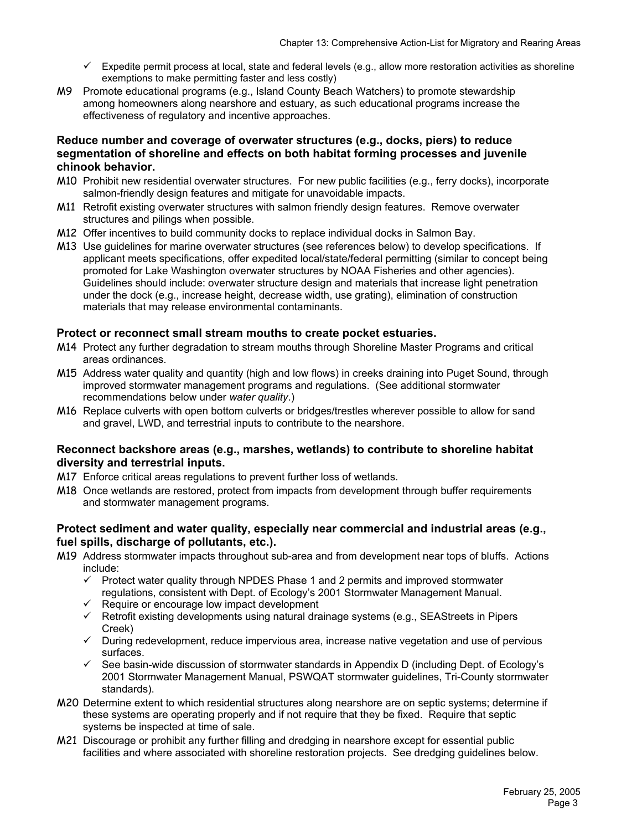- $\checkmark$  Expedite permit process at local, state and federal levels (e.g., allow more restoration activities as shoreline exemptions to make permitting faster and less costly)
- M9 Promote educational programs (e.g., Island County Beach Watchers) to promote stewardship among homeowners along nearshore and estuary, as such educational programs increase the effectiveness of regulatory and incentive approaches.

#### **Reduce number and coverage of overwater structures (e.g., docks, piers) to reduce segmentation of shoreline and effects on both habitat forming processes and juvenile chinook behavior.**

- M10 Prohibit new residential overwater structures. For new public facilities (e.g., ferry docks), incorporate salmon-friendly design features and mitigate for unavoidable impacts.
- M11 Retrofit existing overwater structures with salmon friendly design features. Remove overwater structures and pilings when possible.
- M12 Offer incentives to build community docks to replace individual docks in Salmon Bay.
- M13 Use guidelines for marine overwater structures (see references below) to develop specifications. If applicant meets specifications, offer expedited local/state/federal permitting (similar to concept being promoted for Lake Washington overwater structures by NOAA Fisheries and other agencies). Guidelines should include: overwater structure design and materials that increase light penetration under the dock (e.g., increase height, decrease width, use grating), elimination of construction materials that may release environmental contaminants.

#### **Protect or reconnect small stream mouths to create pocket estuaries.**

- M14 Protect any further degradation to stream mouths through Shoreline Master Programs and critical areas ordinances.
- M15 Address water quality and quantity (high and low flows) in creeks draining into Puget Sound, through improved stormwater management programs and regulations. (See additional stormwater recommendations below under *water quality*.)
- M16 Replace culverts with open bottom culverts or bridges/trestles wherever possible to allow for sand and gravel, LWD, and terrestrial inputs to contribute to the nearshore.

#### **Reconnect backshore areas (e.g., marshes, wetlands) to contribute to shoreline habitat diversity and terrestrial inputs.**

- M17 Enforce critical areas regulations to prevent further loss of wetlands.
- M18 Once wetlands are restored, protect from impacts from development through buffer requirements and stormwater management programs.

#### **Protect sediment and water quality, especially near commercial and industrial areas (e.g., fuel spills, discharge of pollutants, etc.).**

- M19 Address stormwater impacts throughout sub-area and from development near tops of bluffs. Actions include:
	- $\checkmark$  Protect water quality through NPDES Phase 1 and 2 permits and improved stormwater regulations, consistent with Dept. of Ecology's 2001 Stormwater Management Manual.
	- Require or encourage low impact development
	- $\checkmark$  Retrofit existing developments using natural drainage systems (e.g., SEAStreets in Pipers Creek)
	- $\checkmark$  During redevelopment, reduce impervious area, increase native vegetation and use of pervious surfaces.
	- 9 See basin-wide discussion of stormwater standards in Appendix D (including Dept. of Ecology's 2001 Stormwater Management Manual, PSWQAT stormwater guidelines, Tri-County stormwater standards).
- M20 Determine extent to which residential structures along nearshore are on septic systems; determine if these systems are operating properly and if not require that they be fixed. Require that septic systems be inspected at time of sale.
- M21 Discourage or prohibit any further filling and dredging in nearshore except for essential public facilities and where associated with shoreline restoration projects. See dredging guidelines below.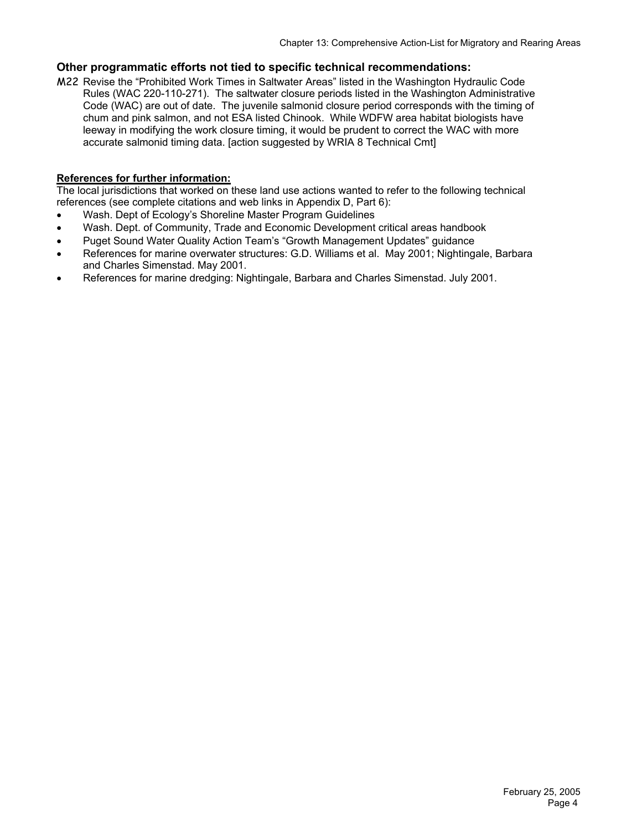#### **Other programmatic efforts not tied to specific technical recommendations:**

M22 Revise the "Prohibited Work Times in Saltwater Areas" listed in the Washington Hydraulic Code Rules (WAC 220-110-271). The saltwater closure periods listed in the Washington Administrative Code (WAC) are out of date. The juvenile salmonid closure period corresponds with the timing of chum and pink salmon, and not ESA listed Chinook. While WDFW area habitat biologists have leeway in modifying the work closure timing, it would be prudent to correct the WAC with more accurate salmonid timing data. [action suggested by WRIA 8 Technical Cmt]

#### **References for further information:**

The local jurisdictions that worked on these land use actions wanted to refer to the following technical references (see complete citations and web links in Appendix D, Part 6):

- Wash. Dept of Ecology's Shoreline Master Program Guidelines
- Wash. Dept. of Community, Trade and Economic Development critical areas handbook
- Puget Sound Water Quality Action Team's "Growth Management Updates" guidance
- References for marine overwater structures: G.D. Williams et al. May 2001; Nightingale, Barbara and Charles Simenstad. May 2001.
- References for marine dredging: Nightingale, Barbara and Charles Simenstad. July 2001.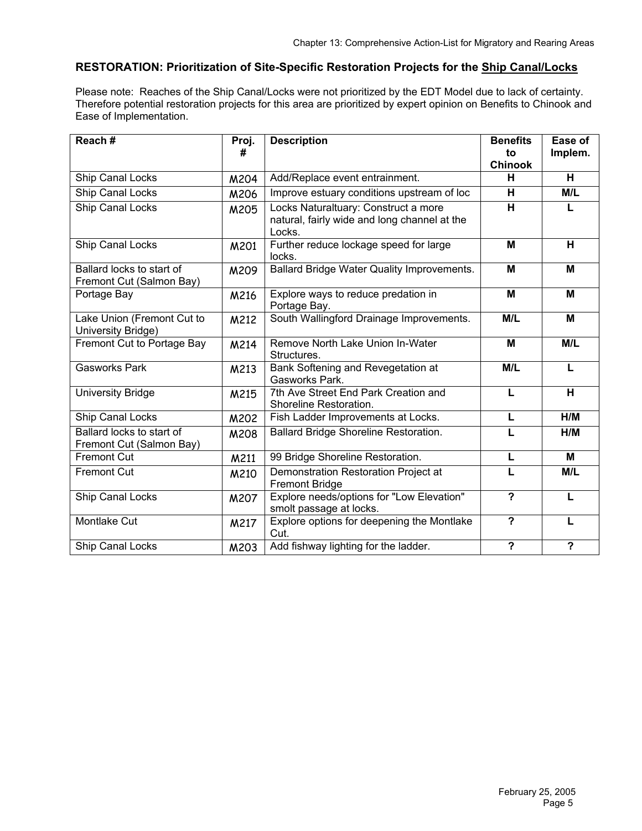# **RESTORATION: Prioritization of Site-Specific Restoration Projects for the Ship Canal/Locks**

Please note: Reaches of the Ship Canal/Locks were not prioritized by the EDT Model due to lack of certainty. Therefore potential restoration projects for this area are prioritized by expert opinion on Benefits to Chinook and Ease of Implementation.

| Reach#                                                | Proj.<br># | <b>Description</b>                                                                             | <b>Benefits</b><br>to<br><b>Chinook</b> | Ease of<br>Implem.      |
|-------------------------------------------------------|------------|------------------------------------------------------------------------------------------------|-----------------------------------------|-------------------------|
| Ship Canal Locks                                      | M204       | Add/Replace event entrainment.                                                                 | н                                       | H                       |
| Ship Canal Locks                                      | M206       | Improve estuary conditions upstream of loc                                                     | н                                       | M/L                     |
| Ship Canal Locks                                      | M205       | Locks Naturaltuary: Construct a more<br>natural, fairly wide and long channel at the<br>Locks. | H                                       | L                       |
| Ship Canal Locks                                      | M201       | Further reduce lockage speed for large<br>locks.                                               | M                                       | H                       |
| Ballard locks to start of<br>Fremont Cut (Salmon Bay) | M209       | Ballard Bridge Water Quality Improvements.                                                     | M                                       | M                       |
| Portage Bay                                           | M216       | Explore ways to reduce predation in<br>Portage Bay.                                            | M                                       | M                       |
| Lake Union (Fremont Cut to<br>University Bridge)      | M212       | South Wallingford Drainage Improvements.                                                       | M/L                                     | M                       |
| Fremont Cut to Portage Bay                            | M214       | Remove North Lake Union In-Water<br>Structures.                                                | M                                       | M/L                     |
| <b>Gasworks Park</b>                                  | M213       | Bank Softening and Revegetation at<br>Gasworks Park.                                           | M/L                                     | L                       |
| <b>University Bridge</b>                              | M215       | 7th Ave Street End Park Creation and<br>Shoreline Restoration.                                 | L                                       | H                       |
| Ship Canal Locks                                      | M202       | Fish Ladder Improvements at Locks.                                                             | L                                       | H/M                     |
| Ballard locks to start of<br>Fremont Cut (Salmon Bay) | M208       | Ballard Bridge Shoreline Restoration.                                                          | L                                       | H/M                     |
| <b>Fremont Cut</b>                                    | M211       | 99 Bridge Shoreline Restoration.                                                               | L                                       | M                       |
| <b>Fremont Cut</b>                                    | M210       | Demonstration Restoration Project at<br><b>Fremont Bridge</b>                                  | L                                       | M/L                     |
| Ship Canal Locks                                      | M207       | Explore needs/options for "Low Elevation"<br>smolt passage at locks.                           | $\overline{\mathbf{c}}$                 | L                       |
| <b>Montlake Cut</b>                                   | M217       | Explore options for deepening the Montlake<br>Cut.                                             | $\overline{\mathbf{c}}$                 | L                       |
| Ship Canal Locks                                      | M203       | Add fishway lighting for the ladder.                                                           | $\overline{?}$                          | $\overline{\mathbf{?}}$ |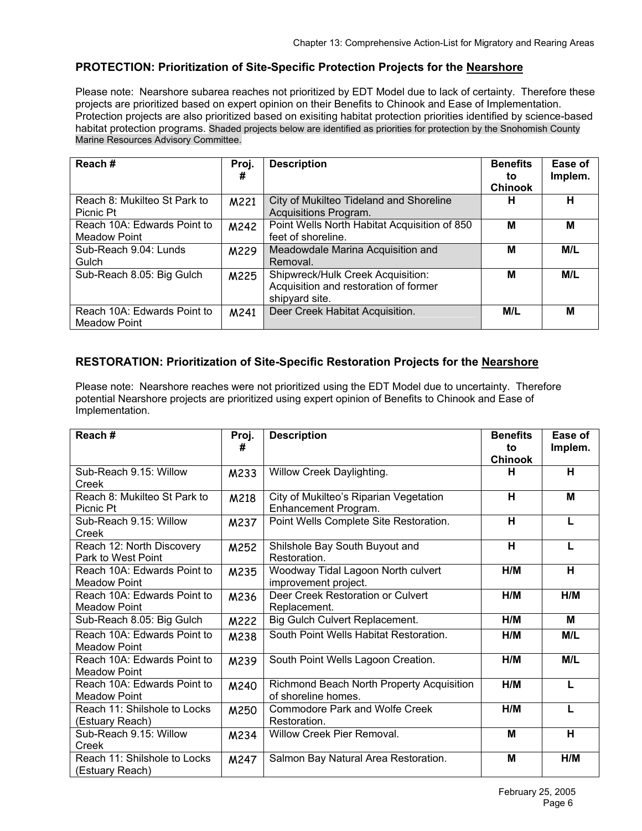#### **PROTECTION: Prioritization of Site-Specific Protection Projects for the Nearshore**

Please note: Nearshore subarea reaches not prioritized by EDT Model due to lack of certainty. Therefore these projects are prioritized based on expert opinion on their Benefits to Chinook and Ease of Implementation. Protection projects are also prioritized based on exisiting habitat protection priorities identified by science-based habitat protection programs. Shaded projects below are identified as priorities for protection by the Snohomish County Marine Resources Advisory Committee.

| Reach#                                             | Proj.<br># | <b>Description</b>                                                                                  | <b>Benefits</b><br>to<br><b>Chinook</b> | Ease of<br>Implem. |
|----------------------------------------------------|------------|-----------------------------------------------------------------------------------------------------|-----------------------------------------|--------------------|
| Reach 8: Mukilteo St Park to<br>Picnic Pt          | M221       | City of Mukilteo Tideland and Shoreline<br>Acquisitions Program.                                    | н                                       | н                  |
| Reach 10A: Edwards Point to<br>Meadow Point        | M242       | Point Wells North Habitat Acquisition of 850<br>feet of shoreline.                                  | М                                       | M                  |
| Sub-Reach 9.04: Lunds<br>Gulch                     | M229       | Meadowdale Marina Acquisition and<br>Removal.                                                       | м                                       | M/L                |
| Sub-Reach 8.05: Big Gulch                          | M225       | <b>Shipwreck/Hulk Creek Acquisition:</b><br>Acquisition and restoration of former<br>shipyard site. | м                                       | M/L                |
| Reach 10A: Edwards Point to<br><b>Meadow Point</b> | M241       | Deer Creek Habitat Acquisition.                                                                     | M/L                                     | м                  |

## **RESTORATION: Prioritization of Site-Specific Restoration Projects for the Nearshore**

Please note: Nearshore reaches were not prioritized using the EDT Model due to uncertainty. Therefore potential Nearshore projects are prioritized using expert opinion of Benefits to Chinook and Ease of Implementation.

| Reach#                                             | Proj.<br># | <b>Description</b>                                               | <b>Benefits</b><br>to<br><b>Chinook</b> | Ease of<br>Implem. |
|----------------------------------------------------|------------|------------------------------------------------------------------|-----------------------------------------|--------------------|
| Sub-Reach 9.15: Willow<br>Creek                    | M233       | Willow Creek Daylighting.                                        | н                                       | н                  |
| Reach 8: Mukilteo St Park to<br>Picnic Pt          | M218       | City of Mukilteo's Riparian Vegetation<br>Enhancement Program.   | H                                       | M                  |
| Sub-Reach 9.15: Willow<br>Creek                    | M237       | Point Wells Complete Site Restoration.                           | H                                       | L                  |
| Reach 12: North Discovery<br>Park to West Point    | M252       | Shilshole Bay South Buyout and<br>Restoration.                   | н                                       | L                  |
| Reach 10A: Edwards Point to<br>Meadow Point        | M235       | Woodway Tidal Lagoon North culvert<br>improvement project.       | H/M                                     | н                  |
| Reach 10A: Edwards Point to<br>Meadow Point        | M236       | Deer Creek Restoration or Culvert<br>Replacement.                | H/M                                     | H/M                |
| Sub-Reach 8.05: Big Gulch                          | M222       | Big Gulch Culvert Replacement.                                   | H/M                                     | M                  |
| Reach 10A: Edwards Point to<br>Meadow Point        | M238       | South Point Wells Habitat Restoration.                           | H/M                                     | M/L                |
| Reach 10A: Edwards Point to<br>Meadow Point        | M239       | South Point Wells Lagoon Creation.                               | H/M                                     | M/L                |
| Reach 10A: Edwards Point to<br><b>Meadow Point</b> | M240       | Richmond Beach North Property Acquisition<br>of shoreline homes. | H/M                                     | L                  |
| Reach 11: Shilshole to Locks<br>(Estuary Reach)    | M250       | <b>Commodore Park and Wolfe Creek</b><br>Restoration.            | H/M                                     | L                  |
| Sub-Reach 9.15: Willow<br>Creek                    | M234       | Willow Creek Pier Removal.                                       | M                                       | н                  |
| Reach 11: Shilshole to Locks<br>(Estuary Reach)    | M247       | Salmon Bay Natural Area Restoration.                             | M                                       | H/M                |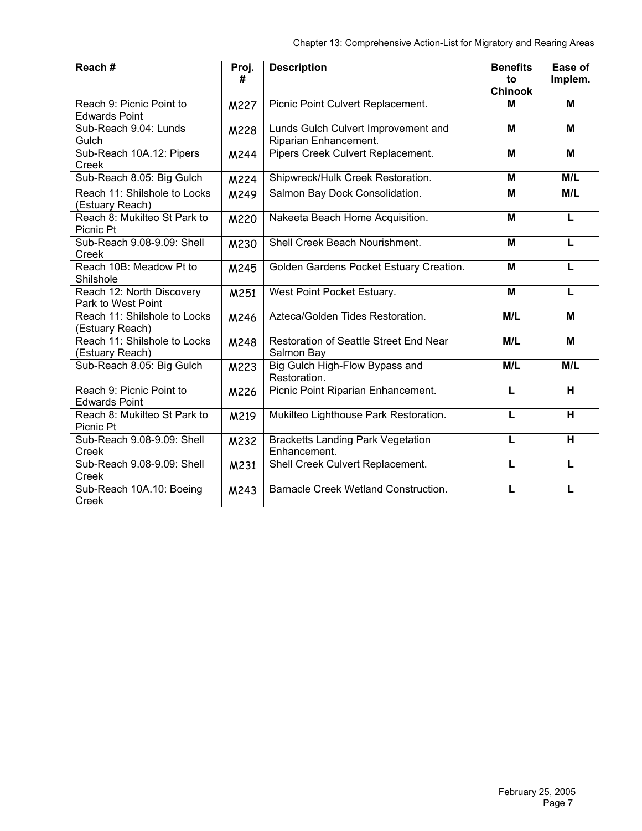| Reach#                                           | Proj.<br># | <b>Description</b>                                           | <b>Benefits</b><br>to<br><b>Chinook</b> | Ease of<br>Implem. |
|--------------------------------------------------|------------|--------------------------------------------------------------|-----------------------------------------|--------------------|
| Reach 9: Picnic Point to<br><b>Edwards Point</b> | M227       | Picnic Point Culvert Replacement.                            | М                                       | M                  |
| Sub-Reach 9.04: Lunds<br>Gulch                   | M228       | Lunds Gulch Culvert Improvement and<br>Riparian Enhancement. | M                                       | M                  |
| Sub-Reach 10A.12: Pipers<br>Creek                | M244       | Pipers Creek Culvert Replacement.                            | M                                       | M                  |
| Sub-Reach 8.05: Big Gulch                        | M224       | Shipwreck/Hulk Creek Restoration.                            | м                                       | M/L                |
| Reach 11: Shilshole to Locks<br>(Estuary Reach)  | M249       | Salmon Bay Dock Consolidation.                               | м                                       | M/L                |
| Reach 8: Mukilteo St Park to<br>Picnic Pt        | M220       | Nakeeta Beach Home Acquisition.                              | M                                       | L                  |
| Sub-Reach 9.08-9.09: Shell<br>Creek              | M230       | Shell Creek Beach Nourishment.                               | M                                       | L                  |
| Reach 10B: Meadow Pt to<br>Shilshole             | M245       | Golden Gardens Pocket Estuary Creation.                      | M                                       | L                  |
| Reach 12: North Discovery<br>Park to West Point  | M251       | West Point Pocket Estuary.                                   | M                                       | L                  |
| Reach 11: Shilshole to Locks<br>(Estuary Reach)  | M246       | Azteca/Golden Tides Restoration.                             | M/L                                     | M                  |
| Reach 11: Shilshole to Locks<br>(Estuary Reach)  | M248       | Restoration of Seattle Street End Near<br>Salmon Bay         | M/L                                     | M                  |
| Sub-Reach 8.05: Big Gulch                        | M223       | Big Gulch High-Flow Bypass and<br>Restoration.               | M/L                                     | M/L                |
| Reach 9: Picnic Point to<br><b>Edwards Point</b> | M226       | Picnic Point Riparian Enhancement.                           | L                                       | н                  |
| Reach 8: Mukilteo St Park to<br>Picnic Pt        | M219       | Mukilteo Lighthouse Park Restoration.                        | L                                       | H                  |
| Sub-Reach 9.08-9.09: Shell<br>Creek              | M232       | <b>Bracketts Landing Park Vegetation</b><br>Enhancement.     | L                                       | H                  |
| Sub-Reach 9.08-9.09: Shell<br>Creek              | M231       | Shell Creek Culvert Replacement.                             | L                                       | L                  |
| Sub-Reach 10A.10: Boeing<br>Creek                | M243       | Barnacle Creek Wetland Construction.                         | L                                       | L                  |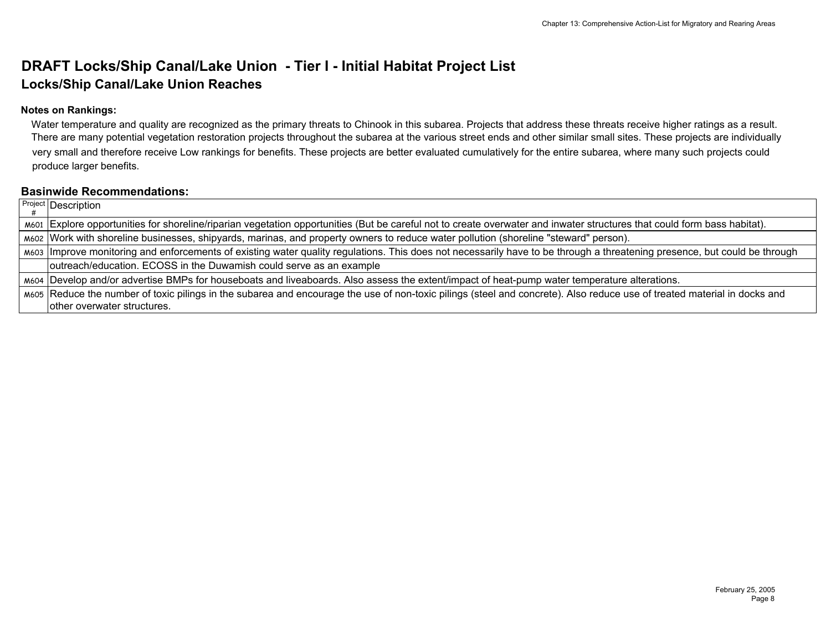# **DRAFT Locks/Ship Canal/Lake Union - Tier I - Initial Habitat Project List Locks/Ship Canal/Lake Union Reaches**

#### **Notes on Rankings:**

 Water temperature and quality are recognized as the primary threats to Chinook in this subarea. Projects that address these threats receive higher ratings as a result. There are many potential vegetation restoration projects throughout the subarea at the various street ends and other similar small sites. These projects are individually very small and therefore receive Low rankings for benefits. These projects are better evaluated cumulatively for the entire subarea, where many such projects could produce larger benefits.

#### **Basinwide Recommendations:**

| M601 Explore opportunities for shoreline/riparian vegetation opportunities (But be careful not to create overwater and inwater structures that could form bass habitat).   |
|----------------------------------------------------------------------------------------------------------------------------------------------------------------------------|
|                                                                                                                                                                            |
|                                                                                                                                                                            |
| M603  Improve monitoring and enforcements of existing water quality regulations. This does not necessarily have to be through a threatening presence, but could be through |
|                                                                                                                                                                            |
|                                                                                                                                                                            |
| M605 Reduce the number of toxic pilings in the subarea and encourage the use of non-toxic pilings (steel and concrete). Also reduce use of treated material in docks and   |
|                                                                                                                                                                            |
|                                                                                                                                                                            |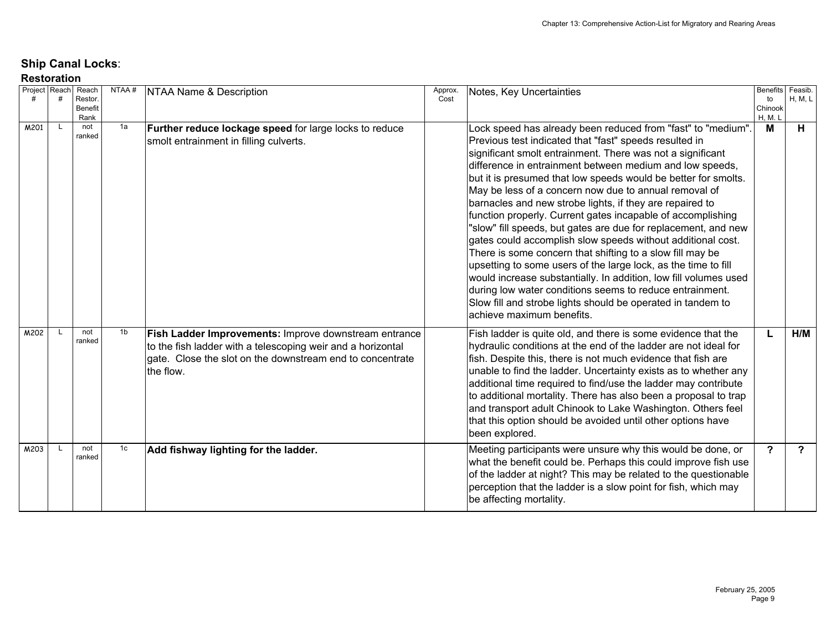# **Ship Canal Locks**:

|      | Project Reach<br># | Reach<br>Restor.<br><b>Benefit</b><br>Rank | NTAA#          | NTAA Name & Description                                                                                                                                                                        | Approx.<br>Cost | Notes, Key Uncertainties                                                                                                                                                                                                                                                                                                                                                                                                                                                                                                                                                                                                                                                                                                                                                                                                                                                                                                                                                                           | <b>Benefits</b><br>to<br>Chinook<br>H, M. L | Feasib.<br>H, M, L |
|------|--------------------|--------------------------------------------|----------------|------------------------------------------------------------------------------------------------------------------------------------------------------------------------------------------------|-----------------|----------------------------------------------------------------------------------------------------------------------------------------------------------------------------------------------------------------------------------------------------------------------------------------------------------------------------------------------------------------------------------------------------------------------------------------------------------------------------------------------------------------------------------------------------------------------------------------------------------------------------------------------------------------------------------------------------------------------------------------------------------------------------------------------------------------------------------------------------------------------------------------------------------------------------------------------------------------------------------------------------|---------------------------------------------|--------------------|
| M201 | $\mathsf{L}$       | not<br>ranked                              | 1a             | Further reduce lockage speed for large locks to reduce<br>smolt entrainment in filling culverts.                                                                                               |                 | Lock speed has already been reduced from "fast" to "medium".<br>Previous test indicated that "fast" speeds resulted in<br>significant smolt entrainment. There was not a significant<br>difference in entrainment between medium and low speeds,<br>but it is presumed that low speeds would be better for smolts.<br>May be less of a concern now due to annual removal of<br>barnacles and new strobe lights, if they are repaired to<br>function properly. Current gates incapable of accomplishing<br>"slow" fill speeds, but gates are due for replacement, and new<br>gates could accomplish slow speeds without additional cost.<br>There is some concern that shifting to a slow fill may be<br>upsetting to some users of the large lock, as the time to fill<br>would increase substantially. In addition, low fill volumes used<br>during low water conditions seems to reduce entrainment.<br>Slow fill and strobe lights should be operated in tandem to<br>achieve maximum benefits. | М                                           | н                  |
| M202 |                    | not<br>ranked                              | 1 <sub>b</sub> | Fish Ladder Improvements: Improve downstream entrance<br>to the fish ladder with a telescoping weir and a horizontal<br>gate. Close the slot on the downstream end to concentrate<br>the flow. |                 | Fish ladder is quite old, and there is some evidence that the<br>hydraulic conditions at the end of the ladder are not ideal for<br>fish. Despite this, there is not much evidence that fish are<br>unable to find the ladder. Uncertainty exists as to whether any<br>additional time required to find/use the ladder may contribute<br>to additional mortality. There has also been a proposal to trap<br>and transport adult Chinook to Lake Washington. Others feel<br>that this option should be avoided until other options have<br>been explored.                                                                                                                                                                                                                                                                                                                                                                                                                                           |                                             | H/M                |
| M203 |                    | not<br>ranked                              | 1 <sub>c</sub> | Add fishway lighting for the ladder.                                                                                                                                                           |                 | Meeting participants were unsure why this would be done, or<br>what the benefit could be. Perhaps this could improve fish use<br>of the ladder at night? This may be related to the questionable<br>perception that the ladder is a slow point for fish, which may<br>be affecting mortality.                                                                                                                                                                                                                                                                                                                                                                                                                                                                                                                                                                                                                                                                                                      | ?                                           | ?                  |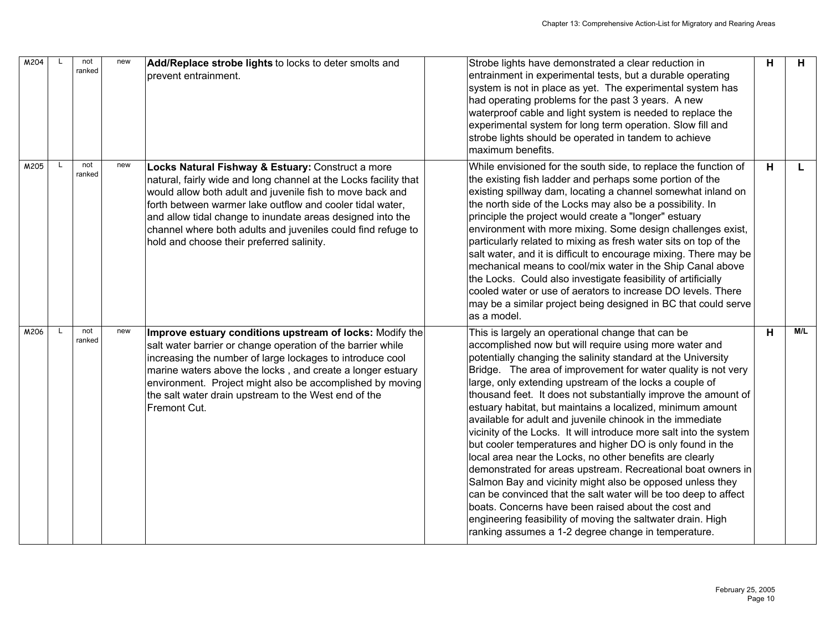| M204 | not<br>ranked | new | Add/Replace strobe lights to locks to deter smolts and<br>prevent entrainment.                                                                                                                                                                                                                                                                                                                                             | Strobe lights have demonstrated a clear reduction in<br>entrainment in experimental tests, but a durable operating<br>system is not in place as yet. The experimental system has<br>had operating problems for the past 3 years. A new<br>waterproof cable and light system is needed to replace the<br>experimental system for long term operation. Slow fill and<br>strobe lights should be operated in tandem to achieve<br>maximum benefits.                                                                                                                                                                                                                                                                                                                                                                                                                                                                                                                                                                                                                                  | н | н   |
|------|---------------|-----|----------------------------------------------------------------------------------------------------------------------------------------------------------------------------------------------------------------------------------------------------------------------------------------------------------------------------------------------------------------------------------------------------------------------------|-----------------------------------------------------------------------------------------------------------------------------------------------------------------------------------------------------------------------------------------------------------------------------------------------------------------------------------------------------------------------------------------------------------------------------------------------------------------------------------------------------------------------------------------------------------------------------------------------------------------------------------------------------------------------------------------------------------------------------------------------------------------------------------------------------------------------------------------------------------------------------------------------------------------------------------------------------------------------------------------------------------------------------------------------------------------------------------|---|-----|
| M205 | not<br>ranked | new | Locks Natural Fishway & Estuary: Construct a more<br>natural, fairly wide and long channel at the Locks facility that<br>would allow both adult and juvenile fish to move back and<br>forth between warmer lake outflow and cooler tidal water,<br>and allow tidal change to inundate areas designed into the<br>channel where both adults and juveniles could find refuge to<br>hold and choose their preferred salinity. | While envisioned for the south side, to replace the function of<br>the existing fish ladder and perhaps some portion of the<br>existing spillway dam, locating a channel somewhat inland on<br>the north side of the Locks may also be a possibility. In<br>principle the project would create a "longer" estuary<br>environment with more mixing. Some design challenges exist,<br>particularly related to mixing as fresh water sits on top of the<br>salt water, and it is difficult to encourage mixing. There may be<br>mechanical means to cool/mix water in the Ship Canal above<br>the Locks. Could also investigate feasibility of artificially<br>cooled water or use of aerators to increase DO levels. There<br>may be a similar project being designed in BC that could serve<br>las a model.                                                                                                                                                                                                                                                                        | н | L   |
| M206 | not<br>ranked | new | Improve estuary conditions upstream of locks: Modify the<br>salt water barrier or change operation of the barrier while<br>increasing the number of large lockages to introduce cool<br>marine waters above the locks, and create a longer estuary<br>environment. Project might also be accomplished by moving<br>the salt water drain upstream to the West end of the<br>Fremont Cut.                                    | This is largely an operational change that can be<br>accomplished now but will require using more water and<br>potentially changing the salinity standard at the University<br>Bridge. The area of improvement for water quality is not very<br>large, only extending upstream of the locks a couple of<br>thousand feet. It does not substantially improve the amount of<br>estuary habitat, but maintains a localized, minimum amount<br>available for adult and juvenile chinook in the immediate<br>vicinity of the Locks. It will introduce more salt into the system<br>but cooler temperatures and higher DO is only found in the<br>local area near the Locks, no other benefits are clearly<br>demonstrated for areas upstream. Recreational boat owners in<br>Salmon Bay and vicinity might also be opposed unless they<br>can be convinced that the salt water will be too deep to affect<br>boats. Concerns have been raised about the cost and<br>engineering feasibility of moving the saltwater drain. High<br>ranking assumes a 1-2 degree change in temperature. | H | M/L |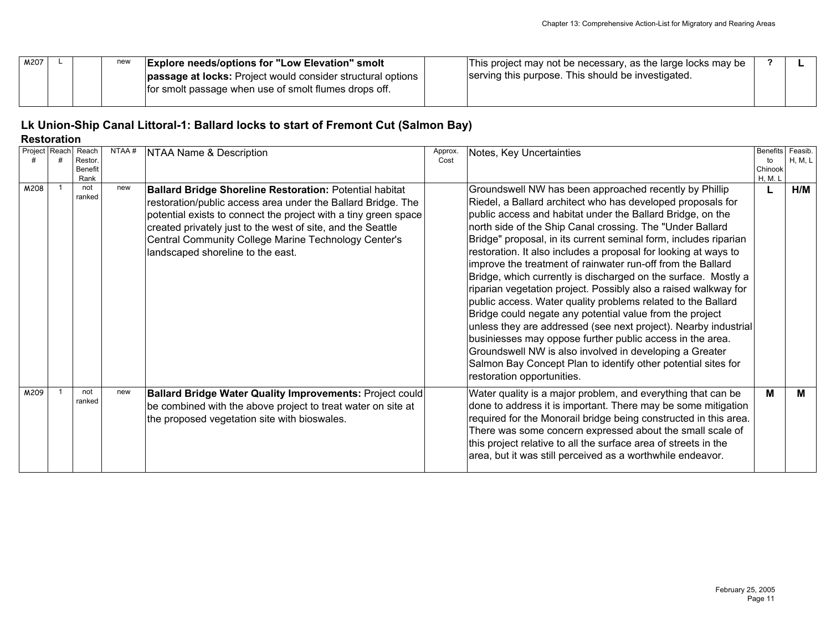| M207 |  | new | <b>Explore needs/options for "Low Elevation" smolt</b>             | This project may not be necessary, as the large locks may be |  |
|------|--|-----|--------------------------------------------------------------------|--------------------------------------------------------------|--|
|      |  |     | <b>passage at locks:</b> Project would consider structural options | serving this purpose. This should be investigated.           |  |
|      |  |     | for smolt passage when use of smolt flumes drops off.              |                                                              |  |
|      |  |     |                                                                    |                                                              |  |

# **Lk Union-Ship Canal Littoral-1: Ballard locks to start of Fremont Cut (Salmon Bay)**

| Project Reach | Reach<br>Restor.<br><b>Benefit</b><br>Rank | NTAA# | NTAA Name & Description                                                                                                                                                                                                                                                                                                                                       | Approx.<br>Cost | Notes, Key Uncertainties                                                                                                                                                                                                                                                                                                                                                                                                                                                                                                                                                                                                                                                                                                                                                                                                                                                                                                                                                                                          | Benefits Feasib.<br>to<br>Chinook<br>H. M. L | H, M, L |
|---------------|--------------------------------------------|-------|---------------------------------------------------------------------------------------------------------------------------------------------------------------------------------------------------------------------------------------------------------------------------------------------------------------------------------------------------------------|-----------------|-------------------------------------------------------------------------------------------------------------------------------------------------------------------------------------------------------------------------------------------------------------------------------------------------------------------------------------------------------------------------------------------------------------------------------------------------------------------------------------------------------------------------------------------------------------------------------------------------------------------------------------------------------------------------------------------------------------------------------------------------------------------------------------------------------------------------------------------------------------------------------------------------------------------------------------------------------------------------------------------------------------------|----------------------------------------------|---------|
| M208          | not<br>ranked                              | new   | <b>Ballard Bridge Shoreline Restoration: Potential habitat</b><br>restoration/public access area under the Ballard Bridge. The<br>potential exists to connect the project with a tiny green space<br>created privately just to the west of site, and the Seattle<br>Central Community College Marine Technology Center's<br>landscaped shoreline to the east. |                 | Groundswell NW has been approached recently by Phillip<br>Riedel, a Ballard architect who has developed proposals for<br>public access and habitat under the Ballard Bridge, on the<br>north side of the Ship Canal crossing. The "Under Ballard<br>Bridge" proposal, in its current seminal form, includes riparian<br>restoration. It also includes a proposal for looking at ways to<br>improve the treatment of rainwater run-off from the Ballard<br>Bridge, which currently is discharged on the surface. Mostly a<br>riparian vegetation project. Possibly also a raised walkway for<br>public access. Water quality problems related to the Ballard<br>Bridge could negate any potential value from the project<br>unless they are addressed (see next project). Nearby industrial<br>businiesses may oppose further public access in the area.<br>Groundswell NW is also involved in developing a Greater<br>Salmon Bay Concept Plan to identify other potential sites for<br>restoration opportunities. | L                                            | H/M     |
| M209          | not<br>ranked                              | new   | <b>Ballard Bridge Water Quality Improvements: Project could</b><br>be combined with the above project to treat water on site at<br>the proposed vegetation site with bioswales.                                                                                                                                                                               |                 | Water quality is a major problem, and everything that can be<br>done to address it is important. There may be some mitigation<br>required for the Monorail bridge being constructed in this area.<br>There was some concern expressed about the small scale of<br>this project relative to all the surface area of streets in the<br>area, but it was still perceived as a worthwhile endeavor.                                                                                                                                                                                                                                                                                                                                                                                                                                                                                                                                                                                                                   | М                                            | м       |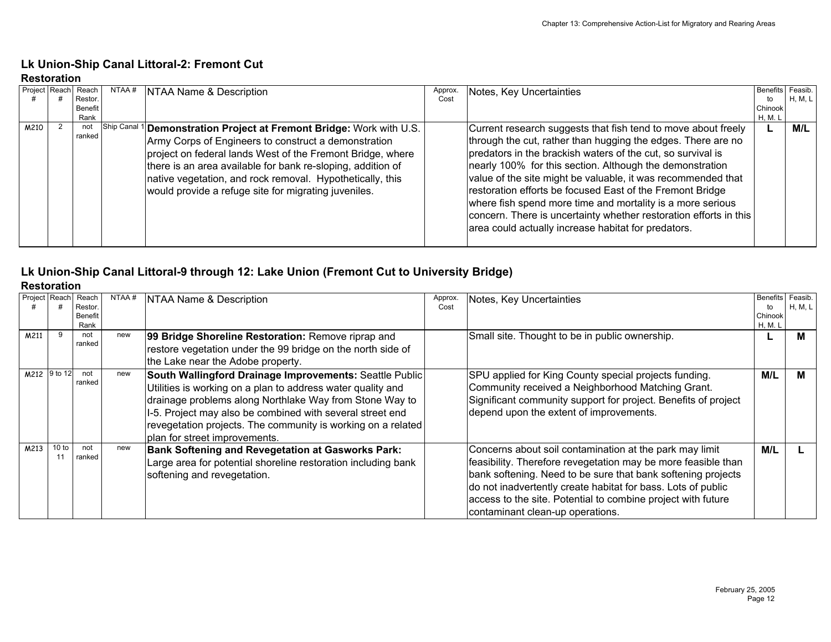#### **Lk Union-Ship Canal Littoral-2: Fremont Cut Restoration**

|      | Project Reach Reach | NTAA # | NTAA Name & Description                                              | Approx. | Notes, Key Uncertainties                                          | Benefits Feasib. |         |
|------|---------------------|--------|----------------------------------------------------------------------|---------|-------------------------------------------------------------------|------------------|---------|
|      | Restor.             |        |                                                                      | Cost    |                                                                   | to               | H, M, L |
|      | <b>Benefit</b>      |        |                                                                      |         |                                                                   | Chinook          |         |
|      | Rank                |        |                                                                      |         |                                                                   | H, M. L          |         |
| M210 | not<br>ranked       |        | Ship Canal 1 Demonstration Project at Fremont Bridge: Work with U.S. |         | Current research suggests that fish tend to move about freely     |                  | M/L     |
|      |                     |        | Army Corps of Engineers to construct a demonstration                 |         | through the cut, rather than hugging the edges. There are no      |                  |         |
|      |                     |        | project on federal lands West of the Fremont Bridge, where           |         | predators in the brackish waters of the cut, so survival is       |                  |         |
|      |                     |        | there is an area available for bank re-sloping, addition of          |         | nearly 100% for this section. Although the demonstration          |                  |         |
|      |                     |        | native vegetation, and rock removal. Hypothetically, this            |         | value of the site might be valuable, it was recommended that      |                  |         |
|      |                     |        | would provide a refuge site for migrating juveniles.                 |         | restoration efforts be focused East of the Fremont Bridge         |                  |         |
|      |                     |        |                                                                      |         | where fish spend more time and mortality is a more serious        |                  |         |
|      |                     |        |                                                                      |         | concern. There is uncertainty whether restoration efforts in this |                  |         |
|      |                     |        |                                                                      |         | area could actually increase habitat for predators.               |                  |         |
|      |                     |        |                                                                      |         |                                                                   |                  |         |
|      |                     |        |                                                                      |         |                                                                   |                  |         |

# **Lk Union-Ship Canal Littoral-9 through 12: Lake Union (Fremont Cut to University Bridge)**

| Project Reach |                  | Reach<br>Restor.<br>Benefit<br>Rank | NTAA # | NTAA Name & Description                                                                                                                                                                                                                                                                                                                         | Approx.<br>Cost | <b>Notes, Key Uncertainties</b>                                                                                                                                                                                                                                                                                                                              | <b>Benefits</b><br>to<br>Chinook<br>H, M. L | Feasib<br>H, M, L |
|---------------|------------------|-------------------------------------|--------|-------------------------------------------------------------------------------------------------------------------------------------------------------------------------------------------------------------------------------------------------------------------------------------------------------------------------------------------------|-----------------|--------------------------------------------------------------------------------------------------------------------------------------------------------------------------------------------------------------------------------------------------------------------------------------------------------------------------------------------------------------|---------------------------------------------|-------------------|
| M211          |                  | not<br>ranked                       | new    | 99 Bridge Shoreline Restoration: Remove riprap and<br>restore vegetation under the 99 bridge on the north side of<br>the Lake near the Adobe property.                                                                                                                                                                                          |                 | Small site. Thought to be in public ownership.                                                                                                                                                                                                                                                                                                               |                                             |                   |
| M212 9 to 12  |                  | not<br>ranked                       | new    | South Wallingford Drainage Improvements: Seattle Public<br>Utilities is working on a plan to address water quality and<br>drainage problems along Northlake Way from Stone Way to<br>I-5. Project may also be combined with several street end<br>revegetation projects. The community is working on a related<br>plan for street improvements. |                 | SPU applied for King County special projects funding.<br>Community received a Neighborhood Matching Grant.<br>Significant community support for project. Benefits of project<br>depend upon the extent of improvements.                                                                                                                                      | M/L                                         | м                 |
| M213          | 10 <sub>to</sub> | not<br>ranked                       | new    | <b>Bank Softening and Revegetation at Gasworks Park:</b><br>Large area for potential shoreline restoration including bank<br>softening and revegetation.                                                                                                                                                                                        |                 | Concerns about soil contamination at the park may limit<br>feasibility. Therefore revegetation may be more feasible than<br>bank softening. Need to be sure that bank softening projects<br>do not inadvertently create habitat for bass. Lots of public<br>access to the site. Potential to combine project with future<br>contaminant clean-up operations. | M/L                                         |                   |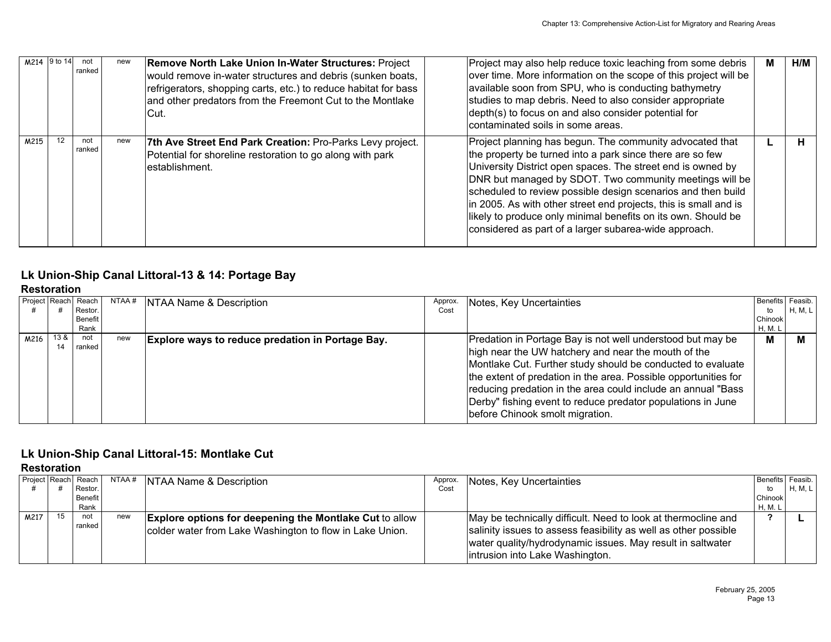| M214 9 to 14 |    | ranked        | new | Remove North Lake Union In-Water Structures: Project<br>would remove in-water structures and debris (sunken boats,<br>refrigerators, shopping carts, etc.) to reduce habitat for bass<br>and other predators from the Freemont Cut to the Montlake<br>lCut. | Project may also help reduce toxic leaching from some debris<br>over time. More information on the scope of this project will be<br>available soon from SPU, who is conducting bathymetry<br>studies to map debris. Need to also consider appropriate<br>depth(s) to focus on and also consider potential for<br>contaminated soils in some areas.                                                                                                                                                            | м | H/M |
|--------------|----|---------------|-----|-------------------------------------------------------------------------------------------------------------------------------------------------------------------------------------------------------------------------------------------------------------|---------------------------------------------------------------------------------------------------------------------------------------------------------------------------------------------------------------------------------------------------------------------------------------------------------------------------------------------------------------------------------------------------------------------------------------------------------------------------------------------------------------|---|-----|
| M215         | 12 | not<br>ranked | new | 7th Ave Street End Park Creation: Pro-Parks Levy project.<br>Potential for shoreline restoration to go along with park<br>lestablishment.                                                                                                                   | Project planning has begun. The community advocated that<br>the property be turned into a park since there are so few<br>University District open spaces. The street end is owned by<br>DNR but managed by SDOT. Two community meetings will be<br>scheduled to review possible design scenarios and then build<br>in 2005. As with other street end projects, this is small and is<br>likely to produce only minimal benefits on its own. Should be<br>considered as part of a larger subarea-wide approach. |   | н   |

# **Lk Union-Ship Canal Littoral-13 & 14: Portage Bay**

| <b>Restoration</b> |            |                     |     |                                                         |               |                                                                                                                                                                                                                                                                                                                                                                                                                        |                  |         |
|--------------------|------------|---------------------|-----|---------------------------------------------------------|---------------|------------------------------------------------------------------------------------------------------------------------------------------------------------------------------------------------------------------------------------------------------------------------------------------------------------------------------------------------------------------------------------------------------------------------|------------------|---------|
|                    |            | Project Reach Reach |     | NTAA # NTAA Name & Description                          | <b>Approx</b> | Notes, Key Uncertainties                                                                                                                                                                                                                                                                                                                                                                                               | Benefits Feasib. |         |
|                    |            | Restor.             |     |                                                         | Cost          |                                                                                                                                                                                                                                                                                                                                                                                                                        | to               | H, M, L |
|                    |            | Benefit             |     |                                                         |               |                                                                                                                                                                                                                                                                                                                                                                                                                        | Chinook          |         |
|                    |            | Rank                |     |                                                         |               |                                                                                                                                                                                                                                                                                                                                                                                                                        | H, M. L          |         |
| M216               | 13 &<br>14 | not<br>ranked       | new | <b>Explore ways to reduce predation in Portage Bay.</b> |               | Predation in Portage Bay is not well understood but may be<br>high near the UW hatchery and near the mouth of the<br>Montlake Cut. Further study should be conducted to evaluate<br>the extent of predation in the area. Possible opportunities for<br>reducing predation in the area could include an annual "Bass"<br>Derby" fishing event to reduce predator populations in June<br>before Chinook smolt migration. | м                | м       |

# **Lk Union-Ship Canal Littoral-15: Montlake Cut**

|      | Proiect Reach Reach |     | NTAA # NTAA Name & Description                                 | Approx. | Notes, Key Uncertainties                                        | Benefits Feasib. |         |
|------|---------------------|-----|----------------------------------------------------------------|---------|-----------------------------------------------------------------|------------------|---------|
|      | Restor.             |     |                                                                | Cost    |                                                                 | to               | H, M, L |
|      | <b>Benefit</b>      |     |                                                                |         |                                                                 | Chinook          |         |
|      | Rank                |     |                                                                |         |                                                                 | H, M. L          |         |
| M217 | not                 | new | <b>Explore options for deepening the Montlake Cut to allow</b> |         | May be technically difficult. Need to look at thermocline and   |                  |         |
|      | ranked              |     | colder water from Lake Washington to flow in Lake Union.       |         | salinity issues to assess feasibility as well as other possible |                  |         |
|      |                     |     |                                                                |         | water quality/hydrodynamic issues. May result in saltwater      |                  |         |
|      |                     |     |                                                                |         | lintrusion into Lake Washington.                                |                  |         |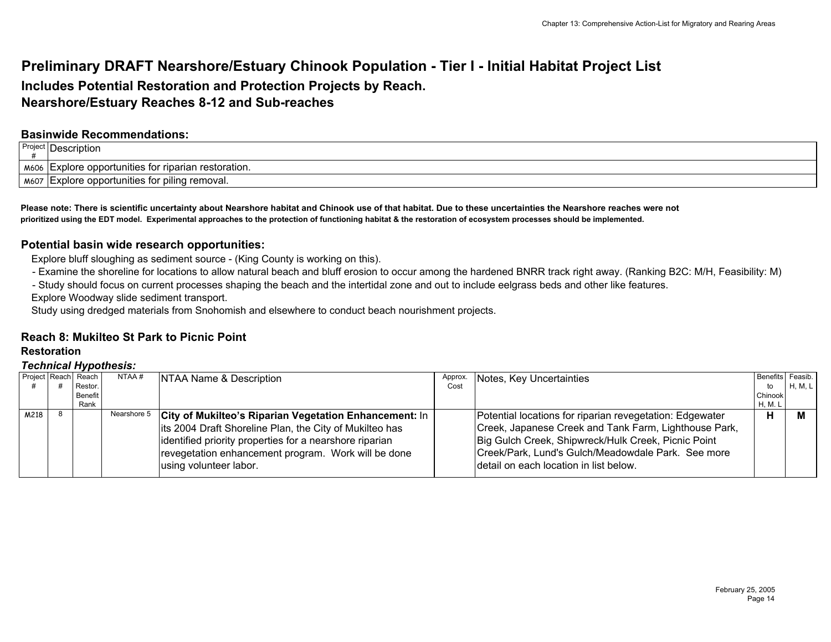# **Preliminary DRAFT Nearshore/Estuary Chinook Population - Tier I - Initial Habitat Project List Includes Potential Restoration and Protection Projects by Reach. Nearshore/Estuary Reaches 8-12 and Sub-reaches**

#### **Basinwide Recommendations:**

| Project |                                                                         |
|---------|-------------------------------------------------------------------------|
| M606    | opportunities for riparian restoration.<br>xn<br>. ເunnuco<br>. uppu. . |
| M607    | or piling removal.<br>plore opportunities for pi<br>-yn.                |

**Please note: There is scientific uncertainty about Nearshore habitat and Chinook use of that habitat. Due to these uncertainties the Nearshore reaches were not prioritized using the EDT model. Experimental approaches to the protection of functioning habitat & the restoration of ecosystem processes should be implemented.** 

### **Potential basin wide research opportunities:**

Explore bluff sloughing as sediment source - (King County is working on this).

- Examine the shoreline for locations to allow natural beach and bluff erosion to occur among the hardened BNRR track right away. (Ranking B2C: M/H, Feasibility: M)

- Study should focus on current processes shaping the beach and the intertidal zone and out to include eelgrass beds and other like features.

Explore Woodway slide sediment transport.

Study using dredged materials from Snohomish and elsewhere to conduct beach nourishment projects.

#### **Reach 8: Mukilteo St Park to Picnic Point**

#### **Restoration**

|      | Project Reach Reach | NTAA#       | <b>NTAA Name &amp; Description</b>                       | Approx. | Notes, Key Uncertainties                                 | Benefits Feasib. |         |
|------|---------------------|-------------|----------------------------------------------------------|---------|----------------------------------------------------------|------------------|---------|
|      | Restor.             |             |                                                          | Cost    |                                                          | to               | H, M, L |
|      | Benefit             |             |                                                          |         |                                                          | Chinook          |         |
|      | Rank                |             |                                                          |         |                                                          | H, M. L          |         |
| M218 |                     | Nearshore 5 | City of Mukilteo's Riparian Vegetation Enhancement: In   |         | Potential locations for riparian revegetation: Edgewater | н                |         |
|      |                     |             | lits 2004 Draft Shoreline Plan, the City of Mukilteo has |         | Creek, Japanese Creek and Tank Farm, Lighthouse Park,    |                  |         |
|      |                     |             | identified priority properties for a nearshore riparian  |         | Big Gulch Creek, Shipwreck/Hulk Creek, Picnic Point      |                  |         |
|      |                     |             | revegetation enhancement program. Work will be done      |         | Creek/Park, Lund's Gulch/Meadowdale Park. See more       |                  |         |
|      |                     |             | using volunteer labor.                                   |         | detail on each location in list below.                   |                  |         |
|      |                     |             |                                                          |         |                                                          |                  |         |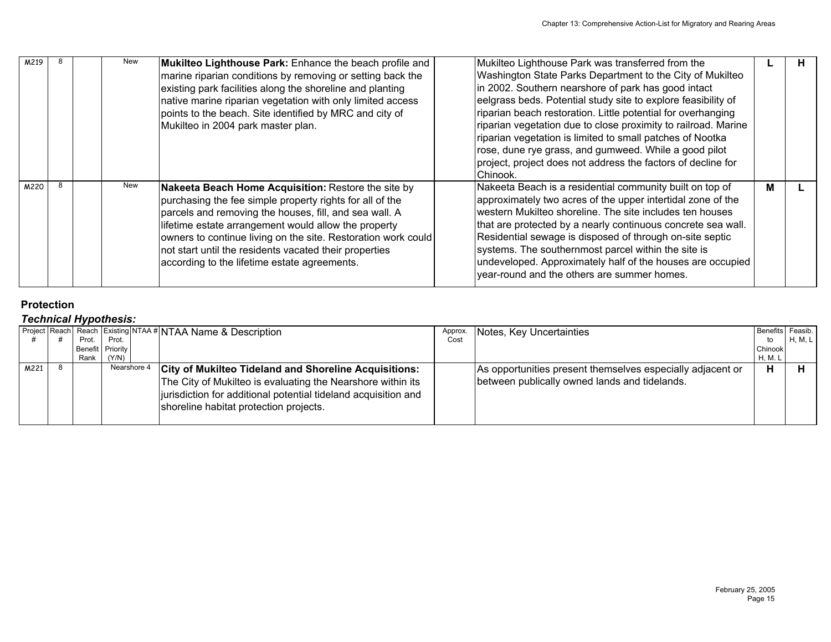| M219 |  | New | Mukilteo Lighthouse Park: Enhance the beach profile and<br>marine riparian conditions by removing or setting back the<br>existing park facilities along the shoreline and planting<br>native marine riparian vegetation with only limited access<br>points to the beach. Site identified by MRC and city of<br>Mukilteo in 2004 park master plan.                                                            | Mukilteo Lighthouse Park was transferred from the<br>Washington State Parks Department to the City of Mukilteo<br>in 2002. Southern nearshore of park has good intact<br>eelgrass beds. Potential study site to explore feasibility of<br>riparian beach restoration. Little potential for overhanging<br>riparian vegetation due to close proximity to railroad. Marine<br>riparian vegetation is limited to small patches of Nootka<br>rose, dune rye grass, and gumweed. While a good pilot<br>project, project does not address the factors of decline for<br>Chinook. |   | н. |
|------|--|-----|--------------------------------------------------------------------------------------------------------------------------------------------------------------------------------------------------------------------------------------------------------------------------------------------------------------------------------------------------------------------------------------------------------------|----------------------------------------------------------------------------------------------------------------------------------------------------------------------------------------------------------------------------------------------------------------------------------------------------------------------------------------------------------------------------------------------------------------------------------------------------------------------------------------------------------------------------------------------------------------------------|---|----|
| M220 |  | New | Nakeeta Beach Home Acquisition: Restore the site by<br>purchasing the fee simple property rights for all of the<br>parcels and removing the houses, fill, and sea wall. A<br>lifetime estate arrangement would allow the property<br>owners to continue living on the site. Restoration work could<br>not start until the residents vacated their properties<br>according to the lifetime estate agreements. | Nakeeta Beach is a residential community built on top of<br>approximately two acres of the upper intertidal zone of the<br>western Mukilteo shoreline. The site includes ten houses<br>that are protected by a nearly continuous concrete sea wall.<br>Residential sewage is disposed of through on-site septic<br>systems. The southernmost parcel within the site is<br>undeveloped. Approximately half of the houses are occupied<br>year-round and the others are summer homes.                                                                                        | М |    |

|      |       |                  | Project Reach Reach Existing NTAA # NTAA Name & Description    | Approx. | Notes, Key Uncertainties                                   | Benefits Feasib. |         |
|------|-------|------------------|----------------------------------------------------------------|---------|------------------------------------------------------------|------------------|---------|
|      | Prot. | Prot.            |                                                                | Cost    |                                                            | to               | H, M, L |
|      |       | Benefit Priority |                                                                |         |                                                            | Chinook          |         |
|      | Rank  | (Y/N)            |                                                                |         |                                                            | H, M. L          |         |
| M221 |       | Nearshore 4      | <b>City of Mukilteo Tideland and Shoreline Acquisitions:</b>   |         | As opportunities present themselves especially adjacent or | ш                |         |
|      |       |                  | The City of Mukilteo is evaluating the Nearshore within its    |         | between publically owned lands and tidelands.              |                  |         |
|      |       |                  | jurisdiction for additional potential tideland acquisition and |         |                                                            |                  |         |
|      |       |                  | shoreline habitat protection projects.                         |         |                                                            |                  |         |
|      |       |                  |                                                                |         |                                                            |                  |         |
|      |       |                  |                                                                |         |                                                            |                  |         |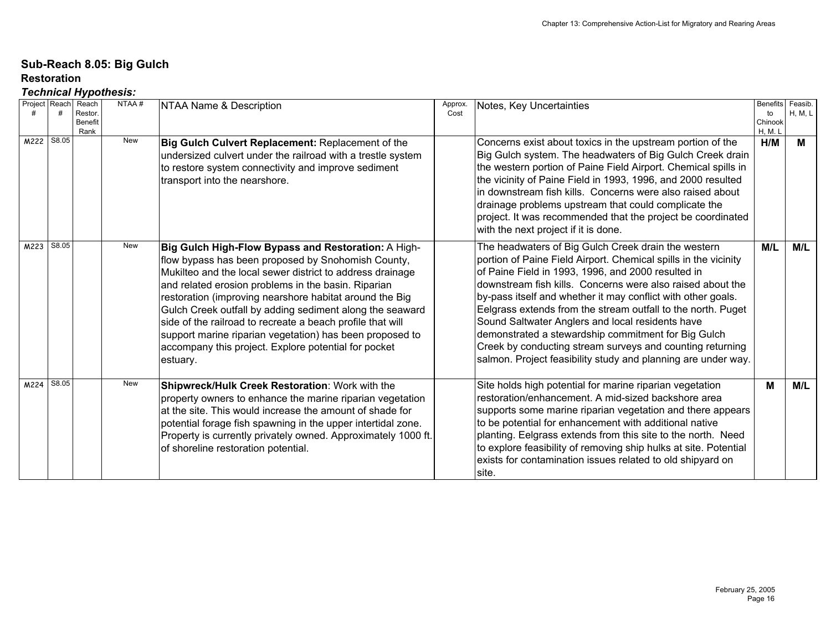# **Sub-Reach 8.05: Big Gulch Restoration**

| Project    | Reach | Reach<br>Restor.<br><b>Benefit</b><br>Rank | NTAA#      | NTAA Name & Description                                                                                                                                                                                                                                                                                                                                                                                                                                                                                                                            | Approx.<br>Cost | Notes, Key Uncertainties                                                                                                                                                                                                                                                                                                                                                                                                                                                                                                                                                                                             | to<br>Chinook<br><b>H. M. L</b> | Benefits Feasib.<br>H, M, L |
|------------|-------|--------------------------------------------|------------|----------------------------------------------------------------------------------------------------------------------------------------------------------------------------------------------------------------------------------------------------------------------------------------------------------------------------------------------------------------------------------------------------------------------------------------------------------------------------------------------------------------------------------------------------|-----------------|----------------------------------------------------------------------------------------------------------------------------------------------------------------------------------------------------------------------------------------------------------------------------------------------------------------------------------------------------------------------------------------------------------------------------------------------------------------------------------------------------------------------------------------------------------------------------------------------------------------------|---------------------------------|-----------------------------|
| M222 S8.05 |       |                                            | New        | Big Gulch Culvert Replacement: Replacement of the<br>undersized culvert under the railroad with a trestle system<br>to restore system connectivity and improve sediment<br>transport into the nearshore.                                                                                                                                                                                                                                                                                                                                           |                 | Concerns exist about toxics in the upstream portion of the<br>Big Gulch system. The headwaters of Big Gulch Creek drain<br>the western portion of Paine Field Airport. Chemical spills in<br>the vicinity of Paine Field in 1993, 1996, and 2000 resulted<br>lin downstream fish kills. Concerns were also raised about<br>drainage problems upstream that could complicate the<br>project. It was recommended that the project be coordinated<br>with the next project if it is done.                                                                                                                               | H/M                             | м                           |
| M223 S8.05 |       |                                            | <b>New</b> | Big Gulch High-Flow Bypass and Restoration: A High-<br>flow bypass has been proposed by Snohomish County,<br>Mukilteo and the local sewer district to address drainage<br>and related erosion problems in the basin. Riparian<br>restoration (improving nearshore habitat around the Big<br>Gulch Creek outfall by adding sediment along the seaward<br>side of the railroad to recreate a beach profile that will<br>support marine riparian vegetation) has been proposed to<br>accompany this project. Explore potential for pocket<br>estuary. |                 | The headwaters of Big Gulch Creek drain the western<br>portion of Paine Field Airport. Chemical spills in the vicinity<br>of Paine Field in 1993, 1996, and 2000 resulted in<br>Idownstream fish kills. Concerns were also raised about the<br>by-pass itself and whether it may conflict with other goals.<br>Eelgrass extends from the stream outfall to the north. Puget<br>Sound Saltwater Anglers and local residents have<br>demonstrated a stewardship commitment for Big Gulch<br>Creek by conducting stream surveys and counting returning<br>salmon. Project feasibility study and planning are under way. | M/L                             | M/L                         |
| M224 S8.05 |       |                                            | New        | Shipwreck/Hulk Creek Restoration: Work with the<br>property owners to enhance the marine riparian vegetation<br>at the site. This would increase the amount of shade for<br>potential forage fish spawning in the upper intertidal zone.<br>Property is currently privately owned. Approximately 1000 ft.<br>of shoreline restoration potential.                                                                                                                                                                                                   |                 | Site holds high potential for marine riparian vegetation<br>restoration/enhancement. A mid-sized backshore area<br>supports some marine riparian vegetation and there appears<br>to be potential for enhancement with additional native<br>planting. Eelgrass extends from this site to the north. Need<br>to explore feasibility of removing ship hulks at site. Potential<br>exists for contamination issues related to old shipyard on<br>site.                                                                                                                                                                   | M                               | M/L                         |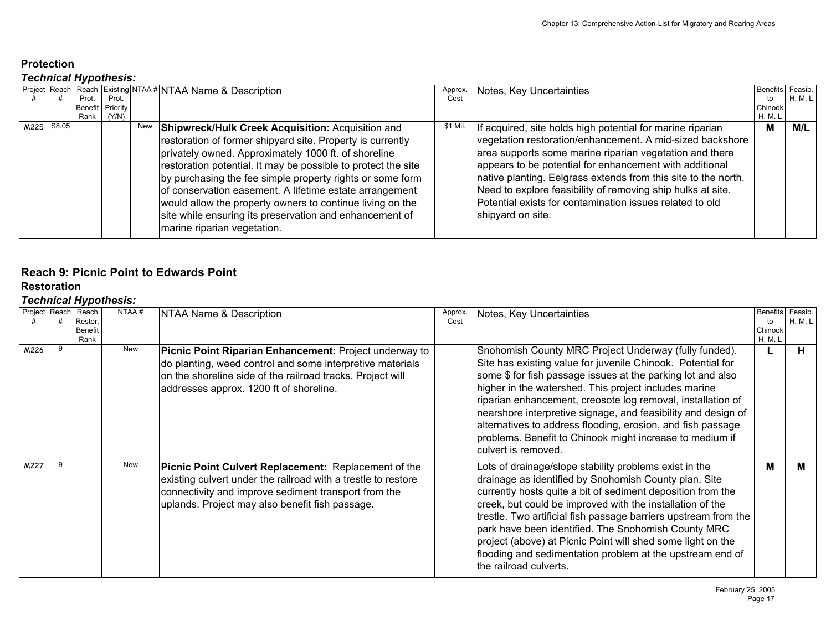|            | Technical Hypothesis: |                  |                                                               |          |                                                               |                 |
|------------|-----------------------|------------------|---------------------------------------------------------------|----------|---------------------------------------------------------------|-----------------|
|            |                       |                  | Project Reach  Reach Existing NTAA # NTAA Name & Description  | Approx   | Notes, Key Uncertainties                                      | <b>Benefits</b> |
|            | Prot.                 | Prot.            |                                                               | Cost     |                                                               |                 |
|            |                       | Benefit Priority |                                                               |          |                                                               | <b>Chinook</b>  |
|            |                       | Rank (Y/N)       |                                                               |          |                                                               | H, M. L         |
| M225 S8.05 |                       |                  | New Shipwreck/Hulk Creek Acquisition: Acquisition and         | \$1 Mil. | If acquired, site holds high potential for marine riparian    | М               |
|            |                       |                  | restoration of former shipyard site. Property is currently    |          | vegetation restoration/enhancement. A mid-sized backshore     |                 |
|            |                       |                  | privately owned. Approximately 1000 ft. of shoreline          |          | area supports some marine riparian vegetation and there       |                 |
|            |                       |                  | restoration potential. It may be possible to protect the site |          | appears to be potential for enhancement with additional       |                 |
|            |                       |                  | by nurchasing the fee simple property rights or some form     |          | Inative planting Felgrass extends from this site to the north |                 |

| M225 S8.05 |  |  | New Shipwreck/Hulk Creek Acquisition: Acquisition and         | \$1 Mil. | If acquired, site holds high potential for marine riparian     | м | M/L |
|------------|--|--|---------------------------------------------------------------|----------|----------------------------------------------------------------|---|-----|
|            |  |  | restoration of former shipyard site. Property is currently    |          | vegetation restoration/enhancement. A mid-sized backshore      |   |     |
|            |  |  | privately owned. Approximately 1000 ft. of shoreline          |          | area supports some marine riparian vegetation and there        |   |     |
|            |  |  | restoration potential. It may be possible to protect the site |          | appears to be potential for enhancement with additional        |   |     |
|            |  |  | by purchasing the fee simple property rights or some form     |          | native planting. Eelgrass extends from this site to the north. |   |     |
|            |  |  | of conservation easement. A lifetime estate arrangement       |          | Need to explore feasibility of removing ship hulks at site.    |   |     |
|            |  |  | would allow the property owners to continue living on the     |          | Potential exists for contamination issues related to old       |   |     |
|            |  |  | site while ensuring its preservation and enhancement of       |          | shipyard on site.                                              |   |     |
|            |  |  | marine riparian vegetation.                                   |          |                                                                |   |     |

# **Reach 9: Picnic Point to Edwards Point**

## **Restoration**

# *Technical Hypothesis:*

| Proiect | Reach | Reach<br>Restor<br><b>Benefit</b><br>Rank | NTAA# | NTAA Name & Description                                                                                                                                                                                                          | Approx<br>Cost | Notes, Key Uncertainties                                                                                                                                                                                                                                                                                                                                                                                                                                                                                                       | <b>Benefits</b><br>to<br>Chinook<br>H, M. L | Feasib.<br>H, M, L |
|---------|-------|-------------------------------------------|-------|----------------------------------------------------------------------------------------------------------------------------------------------------------------------------------------------------------------------------------|----------------|--------------------------------------------------------------------------------------------------------------------------------------------------------------------------------------------------------------------------------------------------------------------------------------------------------------------------------------------------------------------------------------------------------------------------------------------------------------------------------------------------------------------------------|---------------------------------------------|--------------------|
| M226    | 9     |                                           | New   | Picnic Point Riparian Enhancement: Project underway to<br>do planting, weed control and some interpretive materials<br>on the shoreline side of the railroad tracks. Project will<br>addresses approx. 1200 ft of shoreline.     |                | Snohomish County MRC Project Underway (fully funded).<br>Site has existing value for juvenile Chinook. Potential for<br>some \$ for fish passage issues at the parking lot and also<br>higher in the watershed. This project includes marine<br>riparian enhancement, creosote log removal, installation of<br>nearshore interpretive signage, and feasibility and design of<br>alternatives to address flooding, erosion, and fish passage<br>problems. Benefit to Chinook might increase to medium if<br>culvert is removed. |                                             | н                  |
| M227    |       |                                           | New   | Picnic Point Culvert Replacement: Replacement of the<br>existing culvert under the railroad with a trestle to restore<br>connectivity and improve sediment transport from the<br>uplands. Project may also benefit fish passage. |                | Lots of drainage/slope stability problems exist in the<br>drainage as identified by Snohomish County plan. Site<br>currently hosts quite a bit of sediment deposition from the<br>creek, but could be improved with the installation of the<br>trestle. Two artificial fish passage barriers upstream from the<br>park have been identified. The Snohomish County MRC<br>project (above) at Picnic Point will shed some light on the<br>flooding and sedimentation problem at the upstream end of<br>the railroad culverts.    | M                                           | M                  |

Feasib. H, M, L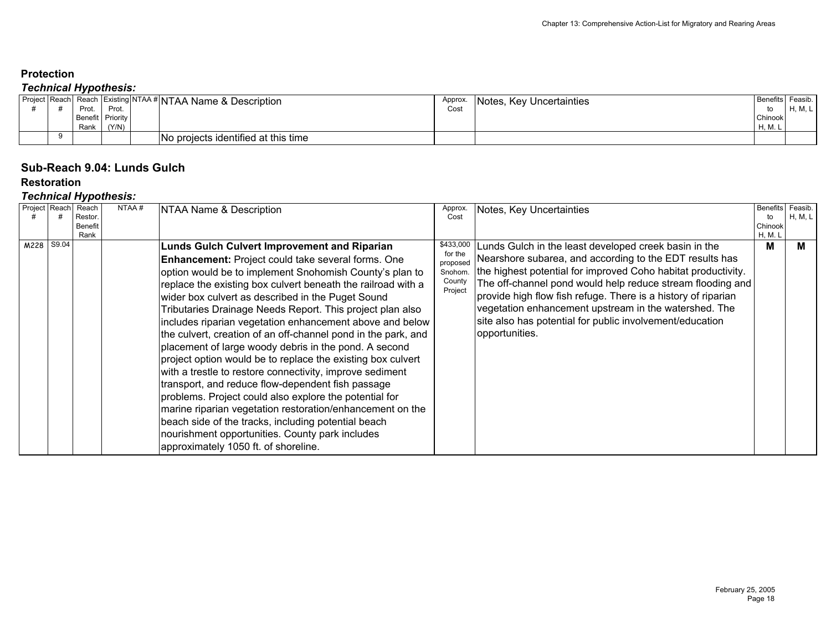#### *Technical Hypothesis:*

| Project Reach |       |                    | aun Reach Existing NTAA # NTAA Name & Description | Approx | Notes, Key Uncertainties | Benefits | Feasib |
|---------------|-------|--------------------|---------------------------------------------------|--------|--------------------------|----------|--------|
|               | Prot. | Prot.              |                                                   | Cost   |                          | tc       |        |
|               |       | Benefit   Priority |                                                   |        |                          | Chinook  |        |
|               | Rank  | (Y/N)              |                                                   |        |                          | H, M.    |        |
|               |       |                    | No projects identified at this time               |        |                          |          |        |

#### **Sub-Reach 9.04: Lunds Gulch**

#### **Restoration**

| Project Reach Reach |         | NTAA# | NTAA Name & Description                                       | Approx.              | Notes, Key Uncertainties                                      | Benefits Feasib. |         |
|---------------------|---------|-------|---------------------------------------------------------------|----------------------|---------------------------------------------------------------|------------------|---------|
|                     | Restor. |       |                                                               | Cost                 |                                                               | to               | H, M, L |
|                     | Benefit |       |                                                               |                      |                                                               | Chinook          |         |
|                     | Rank    |       |                                                               |                      |                                                               | H, M. L          |         |
| M228 S9.04          |         |       | <b>Lunds Gulch Culvert Improvement and Riparian</b>           | \$433,000<br>for the | Lunds Gulch in the least developed creek basin in the         | м                | M       |
|                     |         |       | <b>Enhancement:</b> Project could take several forms. One     | proposed             | Nearshore subarea, and according to the EDT results has       |                  |         |
|                     |         |       | option would be to implement Snohomish County's plan to       | Snohom.              | the highest potential for improved Coho habitat productivity. |                  |         |
|                     |         |       | replace the existing box culvert beneath the railroad with a  | County               | The off-channel pond would help reduce stream flooding and    |                  |         |
|                     |         |       | wider box culvert as described in the Puget Sound             | Project              | provide high flow fish refuge. There is a history of riparian |                  |         |
|                     |         |       | Tributaries Drainage Needs Report. This project plan also     |                      | vegetation enhancement upstream in the watershed. The         |                  |         |
|                     |         |       | includes riparian vegetation enhancement above and below      |                      | site also has potential for public involvement/education      |                  |         |
|                     |         |       | the culvert, creation of an off-channel pond in the park, and |                      | opportunities.                                                |                  |         |
|                     |         |       | placement of large woody debris in the pond. A second         |                      |                                                               |                  |         |
|                     |         |       | project option would be to replace the existing box culvert   |                      |                                                               |                  |         |
|                     |         |       | with a trestle to restore connectivity, improve sediment      |                      |                                                               |                  |         |
|                     |         |       | transport, and reduce flow-dependent fish passage             |                      |                                                               |                  |         |
|                     |         |       | problems. Project could also explore the potential for        |                      |                                                               |                  |         |
|                     |         |       | marine riparian vegetation restoration/enhancement on the     |                      |                                                               |                  |         |
|                     |         |       | beach side of the tracks, including potential beach           |                      |                                                               |                  |         |
|                     |         |       | nourishment opportunities. County park includes               |                      |                                                               |                  |         |
|                     |         |       | approximately 1050 ft. of shoreline.                          |                      |                                                               |                  |         |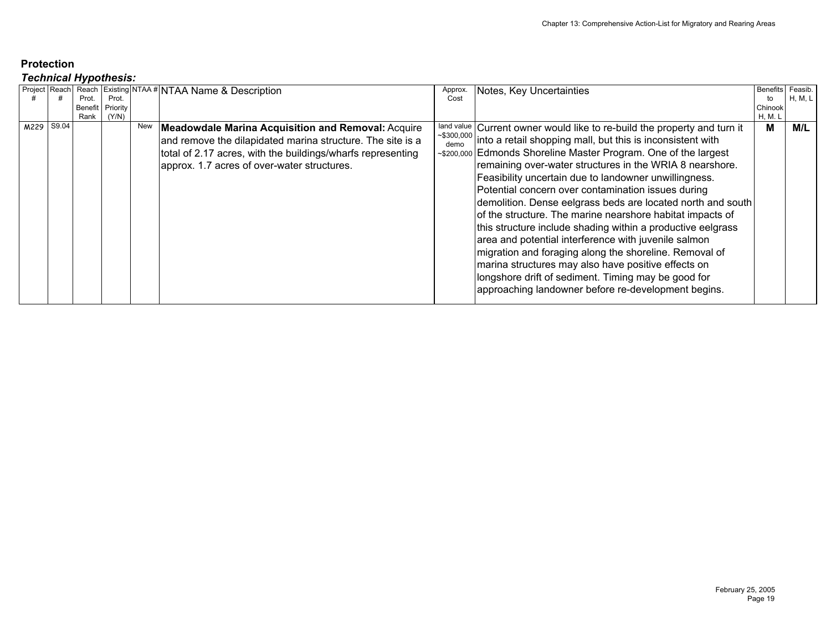| Project Reach |       | <b>Technical Hypothesis:</b> |                           |            | Reach Existing NTAA # NTAA Name & Description                                                                                                                                                                                         | <b>Approx</b> |                                                                                                                                                                                                                                                                                                                                                                                                                                                                                                                                                                                                                                                                                                                                                                                                                                                                                                                                                                    | <b>Benefits</b>           | Feasib. |
|---------------|-------|------------------------------|---------------------------|------------|---------------------------------------------------------------------------------------------------------------------------------------------------------------------------------------------------------------------------------------|---------------|--------------------------------------------------------------------------------------------------------------------------------------------------------------------------------------------------------------------------------------------------------------------------------------------------------------------------------------------------------------------------------------------------------------------------------------------------------------------------------------------------------------------------------------------------------------------------------------------------------------------------------------------------------------------------------------------------------------------------------------------------------------------------------------------------------------------------------------------------------------------------------------------------------------------------------------------------------------------|---------------------------|---------|
|               |       | Prot.                        | Prot.                     |            |                                                                                                                                                                                                                                       | Cost          | Notes, Key Uncertainties                                                                                                                                                                                                                                                                                                                                                                                                                                                                                                                                                                                                                                                                                                                                                                                                                                                                                                                                           |                           | H, M, L |
|               |       | Rank                         | Benefit Priority<br>(Y/N) |            |                                                                                                                                                                                                                                       |               |                                                                                                                                                                                                                                                                                                                                                                                                                                                                                                                                                                                                                                                                                                                                                                                                                                                                                                                                                                    | Chinook<br><b>H, M. L</b> |         |
| M229          | S9.04 |                              |                           | <b>New</b> | <b>Meadowdale Marina Acquisition and Removal: Acquire</b><br>and remove the dilapidated marina structure. The site is a<br>total of 2.17 acres, with the buildings/wharfs representing<br>approx. 1.7 acres of over-water structures. | demo          | $\frac{1}{2}$ and value Current owner would like to re-build the property and turn it<br>$\sim$ \$300,000 into a rateil abonning mall, but this is inconsistent with<br>into a retail shopping mall, but this is inconsistent with<br>~\$200,000 Edmonds Shoreline Master Program. One of the largest<br>remaining over-water structures in the WRIA 8 nearshore.<br>Feasibility uncertain due to landowner unwillingness.<br>Potential concern over contamination issues during<br>demolition. Dense eelgrass beds are located north and south<br>of the structure. The marine nearshore habitat impacts of<br>this structure include shading within a productive eelgrass<br>area and potential interference with juvenile salmon<br>migration and foraging along the shoreline. Removal of<br>marina structures may also have positive effects on<br>longshore drift of sediment. Timing may be good for<br>approaching landowner before re-development begins. | м                         | M/L     |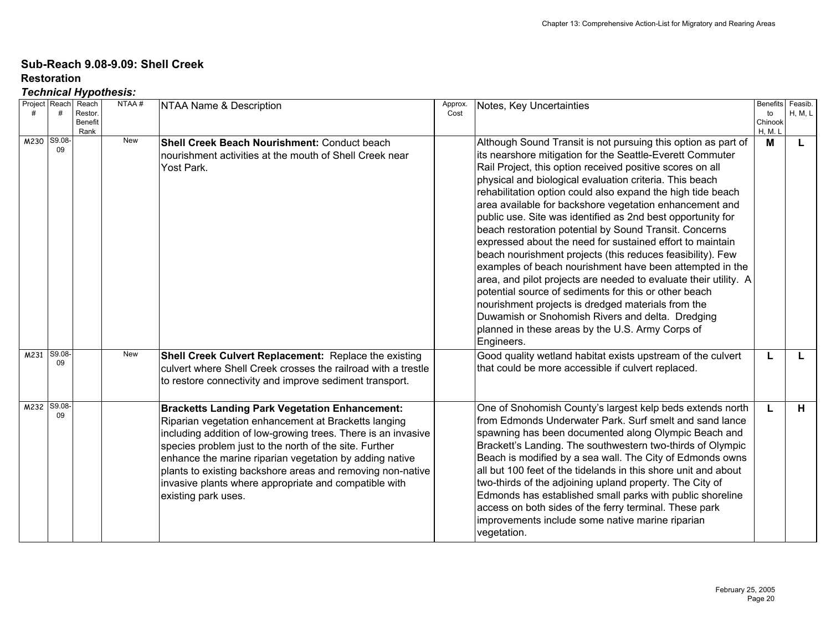| Project | Reach<br>#        | Reach<br>Restor.<br><b>Benefit</b><br>Rank | NTAA# | NTAA Name & Description                                                                                                                                                                                                                                                                                                                                                                                                                           | Approx.<br>Cost | Notes, Key Uncertainties                                                                                                                                                                                                                                                                                                                                                                                                                                                                                                                                                                                                                                                                                                                                                                                                                                                                                                                                                                               | <b>Benefits</b><br>to<br>Chinook<br>H, M. L | Feasib.<br>H, M, L |
|---------|-------------------|--------------------------------------------|-------|---------------------------------------------------------------------------------------------------------------------------------------------------------------------------------------------------------------------------------------------------------------------------------------------------------------------------------------------------------------------------------------------------------------------------------------------------|-----------------|--------------------------------------------------------------------------------------------------------------------------------------------------------------------------------------------------------------------------------------------------------------------------------------------------------------------------------------------------------------------------------------------------------------------------------------------------------------------------------------------------------------------------------------------------------------------------------------------------------------------------------------------------------------------------------------------------------------------------------------------------------------------------------------------------------------------------------------------------------------------------------------------------------------------------------------------------------------------------------------------------------|---------------------------------------------|--------------------|
|         | M230 S9.08-<br>09 |                                            | New   | Shell Creek Beach Nourishment: Conduct beach<br>nourishment activities at the mouth of Shell Creek near<br>Yost Park.                                                                                                                                                                                                                                                                                                                             |                 | Although Sound Transit is not pursuing this option as part of<br>lits nearshore mitigation for the Seattle-Everett Commuter<br>Rail Project, this option received positive scores on all<br>physical and biological evaluation criteria. This beach<br>rehabilitation option could also expand the high tide beach<br>area available for backshore vegetation enhancement and<br>public use. Site was identified as 2nd best opportunity for<br>beach restoration potential by Sound Transit. Concerns<br>expressed about the need for sustained effort to maintain<br>beach nourishment projects (this reduces feasibility). Few<br>examples of beach nourishment have been attempted in the<br>area, and pilot projects are needed to evaluate their utility. A<br>potential source of sediments for this or other beach<br>nourishment projects is dredged materials from the<br>Duwamish or Snohomish Rivers and delta. Dredging<br>planned in these areas by the U.S. Army Corps of<br>Engineers. | M                                           | L                  |
|         | M231 S9.08-<br>09 |                                            | New   | Shell Creek Culvert Replacement: Replace the existing<br>culvert where Shell Creek crosses the railroad with a trestle<br>to restore connectivity and improve sediment transport.                                                                                                                                                                                                                                                                 |                 | Good quality wetland habitat exists upstream of the culvert<br>that could be more accessible if culvert replaced.                                                                                                                                                                                                                                                                                                                                                                                                                                                                                                                                                                                                                                                                                                                                                                                                                                                                                      | L                                           | L                  |
| M232    | S9.08<br>09       |                                            |       | <b>Bracketts Landing Park Vegetation Enhancement:</b><br>Riparian vegetation enhancement at Bracketts langing<br>including addition of low-growing trees. There is an invasive<br>species problem just to the north of the site. Further<br>enhance the marine riparian vegetation by adding native<br>plants to existing backshore areas and removing non-native<br>invasive plants where appropriate and compatible with<br>existing park uses. |                 | One of Snohomish County's largest kelp beds extends north<br>from Edmonds Underwater Park. Surf smelt and sand lance<br>spawning has been documented along Olympic Beach and<br>Brackett's Landing. The southwestern two-thirds of Olympic<br>Beach is modified by a sea wall. The City of Edmonds owns<br>all but 100 feet of the tidelands in this shore unit and about<br>two-thirds of the adjoining upland property. The City of<br>Edmonds has established small parks with public shoreline<br>access on both sides of the ferry terminal. These park<br>improvements include some native marine riparian<br>vegetation.                                                                                                                                                                                                                                                                                                                                                                        |                                             | H                  |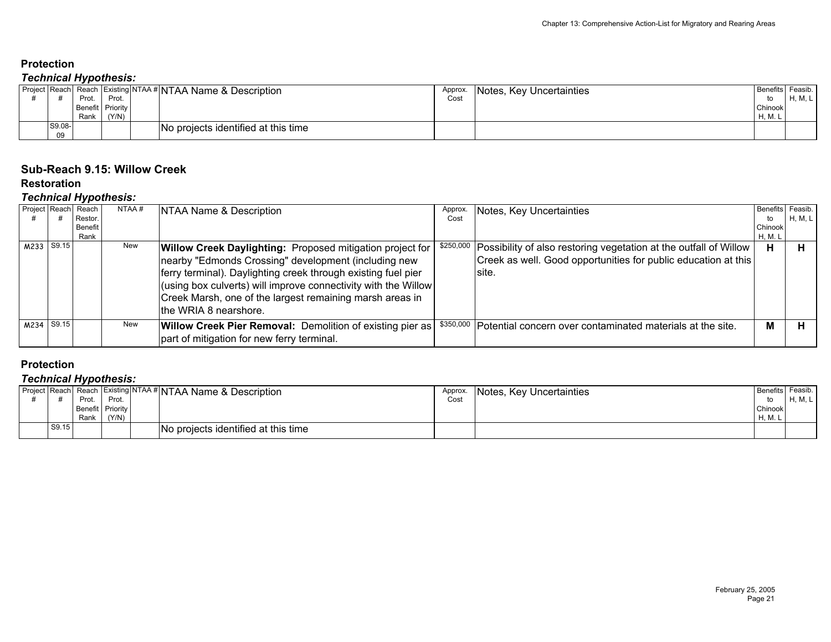#### *Technical Hypothesis:*

|               | Prot. | Prot.                            | Project Reach Reach Existing NTAA # NTAA Name & Description | Approx.<br>Cost | Notes, Key Uncertainties | Benefits<br>to      | Feasib.<br>$\mathbf{M}$ |
|---------------|-------|----------------------------------|-------------------------------------------------------------|-----------------|--------------------------|---------------------|-------------------------|
|               | Rank  | <b>Benefit</b> Priority<br>(Y/N) |                                                             |                 |                          | Chinook<br>$H, M$ . |                         |
| S9.08-I<br>09 |       |                                  | No projects identified at this time                         |                 |                          |                     |                         |

#### **Sub-Reach 9.15: Willow Creek**

#### **Restoration**

#### *Technical Hypothesis:*

| Project Reach | . .<br>Reach<br>Restor. | NTAA# | NTAA Name & Description                                                                                                                                                                                                                                                                                                                                          | Approx<br>Cost | Notes, Key Uncertainties                                                                                                                               | Benefits Feasib.<br>to | <b>H, M, L</b> |
|---------------|-------------------------|-------|------------------------------------------------------------------------------------------------------------------------------------------------------------------------------------------------------------------------------------------------------------------------------------------------------------------------------------------------------------------|----------------|--------------------------------------------------------------------------------------------------------------------------------------------------------|------------------------|----------------|
|               | Benefit                 |       |                                                                                                                                                                                                                                                                                                                                                                  |                |                                                                                                                                                        | Chinook                |                |
|               | Rank                    |       |                                                                                                                                                                                                                                                                                                                                                                  |                |                                                                                                                                                        | H, M. L                |                |
| M233   59.15  |                         | New   | <b>Willow Creek Daylighting: Proposed mitigation project for</b><br>nearby "Edmonds Crossing" development (including new<br>ferry terminal). Daylighting creek through existing fuel pier<br>$\vert$ (using box culverts) will improve connectivity with the Willow $\vert$<br>Creek Marsh, one of the largest remaining marsh areas in<br>the WRIA 8 nearshore. |                | \$250,000 Possibility of also restoring vegetation at the outfall of Willow<br>Creek as well. Good opportunities for public education at this<br>site. | н                      |                |
| M234   59.15  |                         | New   | Willow Creek Pier Removal: Demolition of existing pier as<br>part of mitigation for new ferry terminal.                                                                                                                                                                                                                                                          |                | \$350,000 Potential concern over contaminated materials at the site.                                                                                   | м                      |                |

# **Protection**

|       |                    |       | Project Reach Reach   Existing NTAA # NTAA Name & Description | Approx. | Notes, Key Uncertainties | <b>Benefits</b> | Feasib. |
|-------|--------------------|-------|---------------------------------------------------------------|---------|--------------------------|-----------------|---------|
|       | Prot               | Prot. |                                                               | Cost    |                          | to              | H, M, L |
|       | Benefit   Priority |       |                                                               |         |                          | Chinook         |         |
|       | Rank               | (Y/N) |                                                               |         |                          | H, M. I         |         |
| S9.15 |                    |       | No projects identified at this time                           |         |                          |                 |         |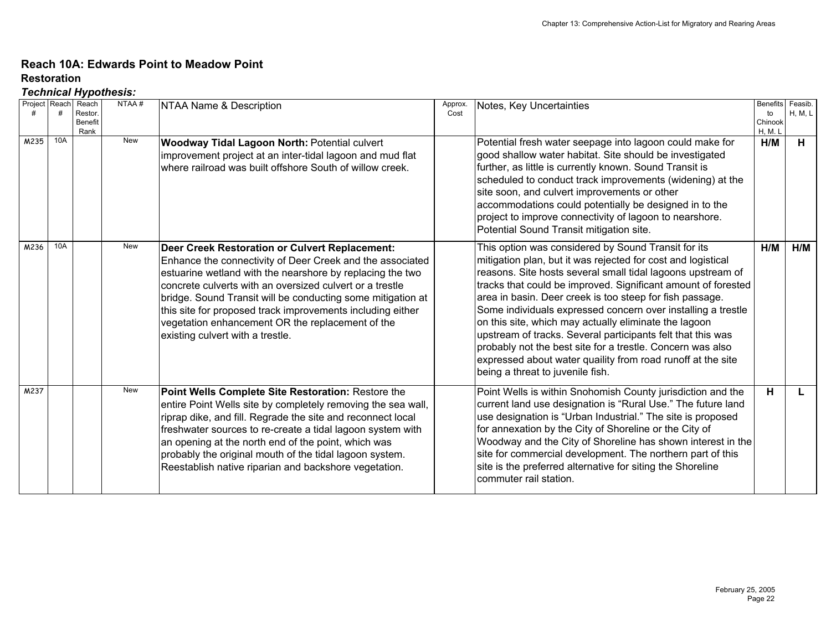# **Reach 10A: Edwards Point to Meadow Point Restoration**

| Project Reach |     | Reach<br>Restor.<br><b>Benefit</b><br>Rank | NTAA#      | NTAA Name & Description                                                                                                                                                                                                                                                                                                                                                                                                                                   | Approx.<br>Cost | Notes, Key Uncertainties                                                                                                                                                                                                                                                                                                                                                                                                                                                                                                                                                                                                                                                 | <b>Benefits</b><br>to<br>Chinook<br><b>H. M. L</b> | Feasib.<br><b>H. M. L</b> |
|---------------|-----|--------------------------------------------|------------|-----------------------------------------------------------------------------------------------------------------------------------------------------------------------------------------------------------------------------------------------------------------------------------------------------------------------------------------------------------------------------------------------------------------------------------------------------------|-----------------|--------------------------------------------------------------------------------------------------------------------------------------------------------------------------------------------------------------------------------------------------------------------------------------------------------------------------------------------------------------------------------------------------------------------------------------------------------------------------------------------------------------------------------------------------------------------------------------------------------------------------------------------------------------------------|----------------------------------------------------|---------------------------|
| M235          | 10A |                                            | New        | <b>Woodway Tidal Lagoon North: Potential culvert</b><br>improvement project at an inter-tidal lagoon and mud flat<br>where railroad was built offshore South of willow creek.                                                                                                                                                                                                                                                                             |                 | Potential fresh water seepage into lagoon could make for<br>good shallow water habitat. Site should be investigated<br>further, as little is currently known. Sound Transit is<br>scheduled to conduct track improvements (widening) at the<br>site soon, and culvert improvements or other<br>accommodations could potentially be designed in to the<br>project to improve connectivity of lagoon to nearshore.<br>Potential Sound Transit mitigation site.                                                                                                                                                                                                             | H/M                                                | H                         |
| M236          | 10A |                                            | <b>New</b> | Deer Creek Restoration or Culvert Replacement:<br>Enhance the connectivity of Deer Creek and the associated<br>estuarine wetland with the nearshore by replacing the two<br>concrete culverts with an oversized culvert or a trestle<br>bridge. Sound Transit will be conducting some mitigation at<br>this site for proposed track improvements including either<br>vegetation enhancement OR the replacement of the<br>existing culvert with a trestle. |                 | This option was considered by Sound Transit for its<br>mitigation plan, but it was rejected for cost and logistical<br>reasons. Site hosts several small tidal lagoons upstream of<br>tracks that could be improved. Significant amount of forested<br>area in basin. Deer creek is too steep for fish passage.<br>Some individuals expressed concern over installing a trestle<br>on this site, which may actually eliminate the lagoon<br>upstream of tracks. Several participants felt that this was<br>probably not the best site for a trestle. Concern was also<br>expressed about water quaility from road runoff at the site<br>being a threat to juvenile fish. | H/M                                                | H/M                       |
| M237          |     |                                            | New        | Point Wells Complete Site Restoration: Restore the<br>entire Point Wells site by completely removing the sea wall,<br>riprap dike, and fill. Regrade the site and reconnect local<br>freshwater sources to re-create a tidal lagoon system with<br>an opening at the north end of the point, which was<br>probably the original mouth of the tidal lagoon system.<br>Reestablish native riparian and backshore vegetation.                                |                 | Point Wells is within Snohomish County jurisdiction and the<br>current land use designation is "Rural Use." The future land<br>use designation is "Urban Industrial." The site is proposed<br>for annexation by the City of Shoreline or the City of<br>Woodway and the City of Shoreline has shown interest in the<br>site for commercial development. The northern part of this<br>site is the preferred alternative for siting the Shoreline<br>commuter rail station.                                                                                                                                                                                                | н                                                  | L                         |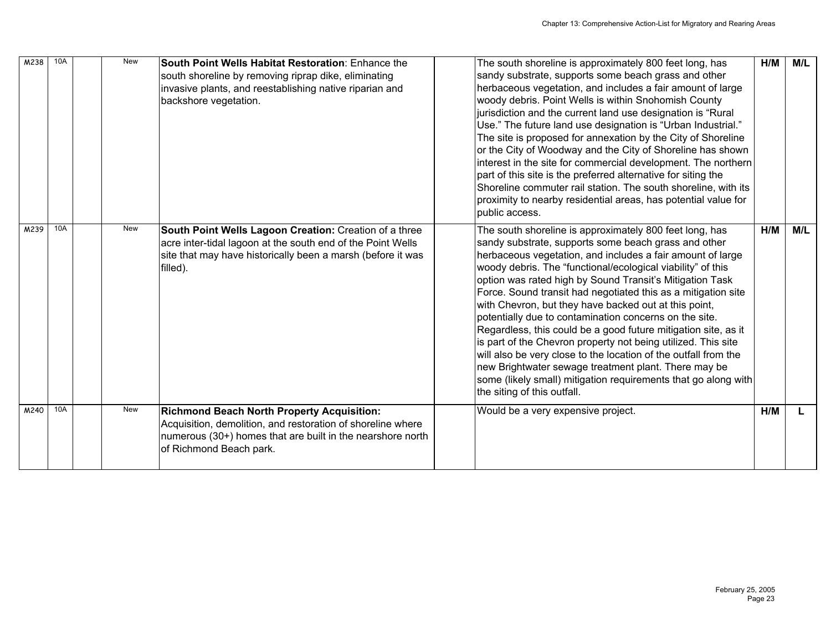| M238 | 10A | New        | South Point Wells Habitat Restoration: Enhance the<br>south shoreline by removing riprap dike, eliminating<br>invasive plants, and reestablishing native riparian and<br>backshore vegetation.            | The south shoreline is approximately 800 feet long, has<br>sandy substrate, supports some beach grass and other<br>herbaceous vegetation, and includes a fair amount of large<br>woody debris. Point Wells is within Snohomish County<br>jurisdiction and the current land use designation is "Rural<br>Use." The future land use designation is "Urban Industrial."<br>The site is proposed for annexation by the City of Shoreline<br>or the City of Woodway and the City of Shoreline has shown<br>interest in the site for commercial development. The northern<br>part of this site is the preferred alternative for siting the<br>Shoreline commuter rail station. The south shoreline, with its<br>proximity to nearby residential areas, has potential value for<br>public access.                                                                  | H/M | M/L |
|------|-----|------------|-----------------------------------------------------------------------------------------------------------------------------------------------------------------------------------------------------------|-------------------------------------------------------------------------------------------------------------------------------------------------------------------------------------------------------------------------------------------------------------------------------------------------------------------------------------------------------------------------------------------------------------------------------------------------------------------------------------------------------------------------------------------------------------------------------------------------------------------------------------------------------------------------------------------------------------------------------------------------------------------------------------------------------------------------------------------------------------|-----|-----|
| M239 | 10A | <b>New</b> | South Point Wells Lagoon Creation: Creation of a three<br>acre inter-tidal lagoon at the south end of the Point Wells<br>site that may have historically been a marsh (before it was<br>filled).          | The south shoreline is approximately 800 feet long, has<br>sandy substrate, supports some beach grass and other<br>herbaceous vegetation, and includes a fair amount of large<br>woody debris. The "functional/ecological viability" of this<br>option was rated high by Sound Transit's Mitigation Task<br>Force. Sound transit had negotiated this as a mitigation site<br>with Chevron, but they have backed out at this point,<br>potentially due to contamination concerns on the site.<br>Regardless, this could be a good future mitigation site, as it<br>is part of the Chevron property not being utilized. This site<br>will also be very close to the location of the outfall from the<br>new Brightwater sewage treatment plant. There may be<br>some (likely small) mitigation requirements that go along with<br>the siting of this outfall. | H/M | M/L |
| M240 | 10A | <b>New</b> | <b>Richmond Beach North Property Acquisition:</b><br>Acquisition, demolition, and restoration of shoreline where<br>numerous (30+) homes that are built in the nearshore north<br>of Richmond Beach park. | Would be a very expensive project.                                                                                                                                                                                                                                                                                                                                                                                                                                                                                                                                                                                                                                                                                                                                                                                                                          | H/M |     |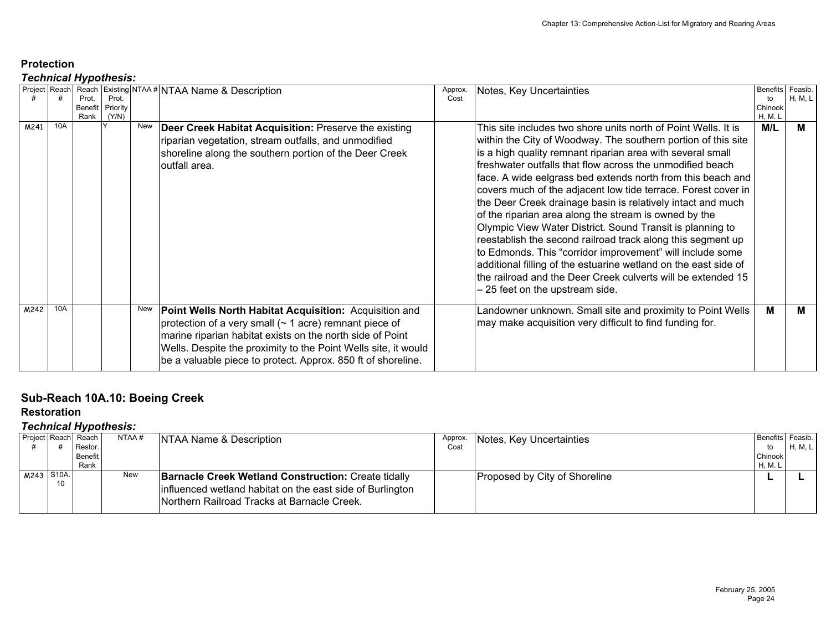|      |                   | <b>Technical Hypothesis:</b> |                   |     |                                                                                                                                                                                                                                                                                                                       |         |                                                                                                                                                                                                                                                                                                                                                                                                                                                                                                                                                                                                                                                                                                                                                                                                                                                                                    |                    |         |
|------|-------------------|------------------------------|-------------------|-----|-----------------------------------------------------------------------------------------------------------------------------------------------------------------------------------------------------------------------------------------------------------------------------------------------------------------------|---------|------------------------------------------------------------------------------------------------------------------------------------------------------------------------------------------------------------------------------------------------------------------------------------------------------------------------------------------------------------------------------------------------------------------------------------------------------------------------------------------------------------------------------------------------------------------------------------------------------------------------------------------------------------------------------------------------------------------------------------------------------------------------------------------------------------------------------------------------------------------------------------|--------------------|---------|
|      |                   |                              |                   |     | Project Reach Reach Existing NTAA # NTAA Name & Description                                                                                                                                                                                                                                                           | Approx. | Notes, Key Uncertainties                                                                                                                                                                                                                                                                                                                                                                                                                                                                                                                                                                                                                                                                                                                                                                                                                                                           | <b>Benefits</b>    | Feasib. |
|      | $\boldsymbol{\#}$ | Prot.                        | Prot.             |     |                                                                                                                                                                                                                                                                                                                       | Cost    |                                                                                                                                                                                                                                                                                                                                                                                                                                                                                                                                                                                                                                                                                                                                                                                                                                                                                    | to                 | H, M, L |
|      |                   | <b>Benefit</b><br>Rank       | Priority<br>(Y/N) |     |                                                                                                                                                                                                                                                                                                                       |         |                                                                                                                                                                                                                                                                                                                                                                                                                                                                                                                                                                                                                                                                                                                                                                                                                                                                                    | Chinook<br>H, M. L |         |
| M241 | 10A               |                              |                   | New | Deer Creek Habitat Acquisition: Preserve the existing<br>riparian vegetation, stream outfalls, and unmodified<br>shoreline along the southern portion of the Deer Creek<br>loutfall area.                                                                                                                             |         | This site includes two shore units north of Point Wells. It is<br>within the City of Woodway. The southern portion of this site<br>is a high quality remnant riparian area with several small<br>Ifreshwater outfalls that flow across the unmodified beach<br>face. A wide eelgrass bed extends north from this beach and<br>covers much of the adjacent low tide terrace. Forest cover in<br>the Deer Creek drainage basin is relatively intact and much<br>of the riparian area along the stream is owned by the<br>Olympic View Water District. Sound Transit is planning to<br>reestablish the second railroad track along this segment up<br>to Edmonds. This "corridor improvement" will include some<br>additional filling of the estuarine wetland on the east side of<br>the railroad and the Deer Creek culverts will be extended 15<br>- 25 feet on the upstream side. | M/L                | м       |
| M242 | 10A               |                              |                   | New | Point Wells North Habitat Acquisition: Acquisition and<br>protection of a very small ( $\sim$ 1 acre) remnant piece of<br>marine riparian habitat exists on the north side of Point<br>Wells. Despite the proximity to the Point Wells site, it would<br>be a valuable piece to protect. Approx. 850 ft of shoreline. |         | Landowner unknown. Small site and proximity to Point Wells<br>may make acquisition very difficult to find funding for.                                                                                                                                                                                                                                                                                                                                                                                                                                                                                                                                                                                                                                                                                                                                                             | м                  | м       |

#### **Sub-Reach 10A.10: Boeing Creek Restoration**

| Project Reach Reach |            |                | NTAA#      | NTAA Name & Description                                    | Approx. | Notes, Key Uncertainties      | Benefits Feasib. |         |
|---------------------|------------|----------------|------------|------------------------------------------------------------|---------|-------------------------------|------------------|---------|
|                     |            | Restor.        |            |                                                            | Cos     |                               | to               | H, M, L |
|                     |            | <b>Benefit</b> |            |                                                            |         |                               | Chinook          |         |
|                     |            | Rank           |            |                                                            |         |                               | H, M. L          |         |
|                     | M243 S10A. |                | <b>New</b> | <b>Barnacle Creek Wetland Construction: Create tidally</b> |         | Proposed by City of Shoreline |                  |         |
|                     | 10         |                |            | influenced wetland habitat on the east side of Burlington  |         |                               |                  |         |
|                     |            |                |            | Northern Railroad Tracks at Barnacle Creek.                |         |                               |                  |         |
|                     |            |                |            |                                                            |         |                               |                  |         |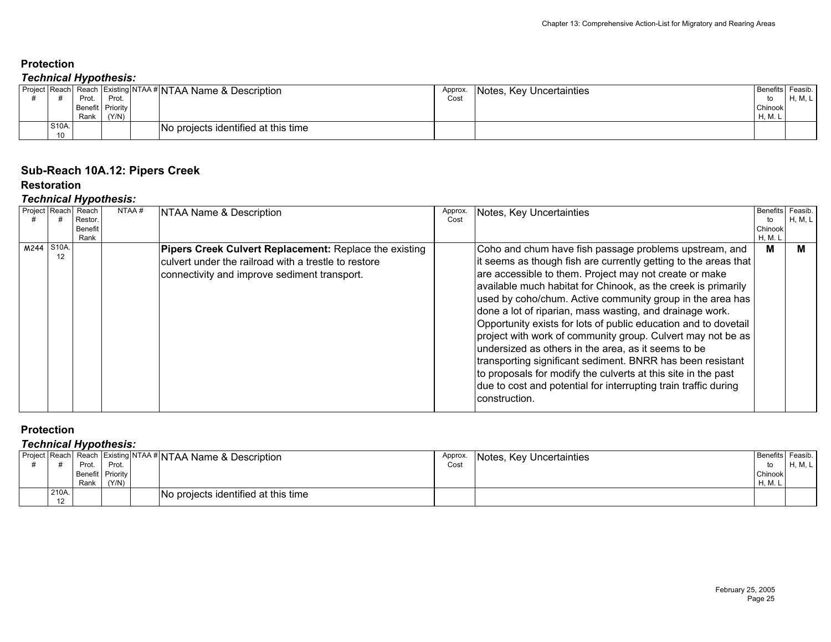#### *Technical Hypothesis:*

|                 | . .   |                         | Project Reach Reach Existing NTAA # NTAA Name & Description | Approx. | Notes, Key Uncertainties | Benefits | Feasib.      |
|-----------------|-------|-------------------------|-------------------------------------------------------------|---------|--------------------------|----------|--------------|
|                 | Prot. | Prot.                   |                                                             | Cost    |                          | to       | $\mathbf{M}$ |
|                 |       | <b>Benefit</b> Priority |                                                             |         |                          | Chinook  |              |
|                 | Rank  | (Y/N)                   |                                                             |         |                          | $H, M$ . |              |
| S10A.           |       |                         | No projects identified at this time                         |         |                          |          |              |
| 10 <sup>°</sup> |       |                         |                                                             |         |                          |          |              |

# **Sub-Reach 10A.12: Pipers Creek**

### **Restoration**

#### *Technical Hypothesis:*

| Project Reach |    | Reach          | NTAA# | NTAA Name & Description                                                                                                                                               | Approx. | Notes, Key Uncertainties                                                                                                                                                                                                                                                                                                                                                                                                                                                                                                                                                                                                                                                                                                                                                 | <b>Benefits</b> | Feasib. |
|---------------|----|----------------|-------|-----------------------------------------------------------------------------------------------------------------------------------------------------------------------|---------|--------------------------------------------------------------------------------------------------------------------------------------------------------------------------------------------------------------------------------------------------------------------------------------------------------------------------------------------------------------------------------------------------------------------------------------------------------------------------------------------------------------------------------------------------------------------------------------------------------------------------------------------------------------------------------------------------------------------------------------------------------------------------|-----------------|---------|
|               |    | Restor.        |       |                                                                                                                                                                       | Cost    |                                                                                                                                                                                                                                                                                                                                                                                                                                                                                                                                                                                                                                                                                                                                                                          | to              | H, M, L |
|               |    | <b>Benefit</b> |       |                                                                                                                                                                       |         |                                                                                                                                                                                                                                                                                                                                                                                                                                                                                                                                                                                                                                                                                                                                                                          | Chinook         |         |
|               |    | Rank           |       |                                                                                                                                                                       |         |                                                                                                                                                                                                                                                                                                                                                                                                                                                                                                                                                                                                                                                                                                                                                                          | H, M. L         |         |
| M244 S10A.    | 12 |                |       | <b>Pipers Creek Culvert Replacement: Replace the existing</b><br>culvert under the railroad with a trestle to restore<br>connectivity and improve sediment transport. |         | Coho and chum have fish passage problems upstream, and<br>it seems as though fish are currently getting to the areas that<br>are accessible to them. Project may not create or make<br>available much habitat for Chinook, as the creek is primarily<br>used by coho/chum. Active community group in the area has<br>done a lot of riparian, mass wasting, and drainage work.<br>Opportunity exists for lots of public education and to dovetail<br>project with work of community group. Culvert may not be as<br>undersized as others in the area, as it seems to be<br>transporting significant sediment. BNRR has been resistant<br>to proposals for modify the culverts at this site in the past<br>due to cost and potential for interrupting train traffic during | M               | м       |
|               |    |                |       |                                                                                                                                                                       |         | construction.                                                                                                                                                                                                                                                                                                                                                                                                                                                                                                                                                                                                                                                                                                                                                            |                 |         |

#### **Protection**

|       |       |                  | Project Reach Reach   Existing NTAA # NTAA Name & Description | Approx. | Notes, Key Uncertainties | Benefits Feasib. |         |
|-------|-------|------------------|---------------------------------------------------------------|---------|--------------------------|------------------|---------|
|       | Prot. | Prot             |                                                               | Cosi    |                          | to               | H, M, L |
|       |       | Benefit Priority |                                                               |         |                          | Chinook          |         |
|       | Rank  | (Y/N)            |                                                               |         |                          | H, M.            |         |
| 210A. |       |                  | No projects identified at this time                           |         |                          |                  |         |
| 12    |       |                  |                                                               |         |                          |                  |         |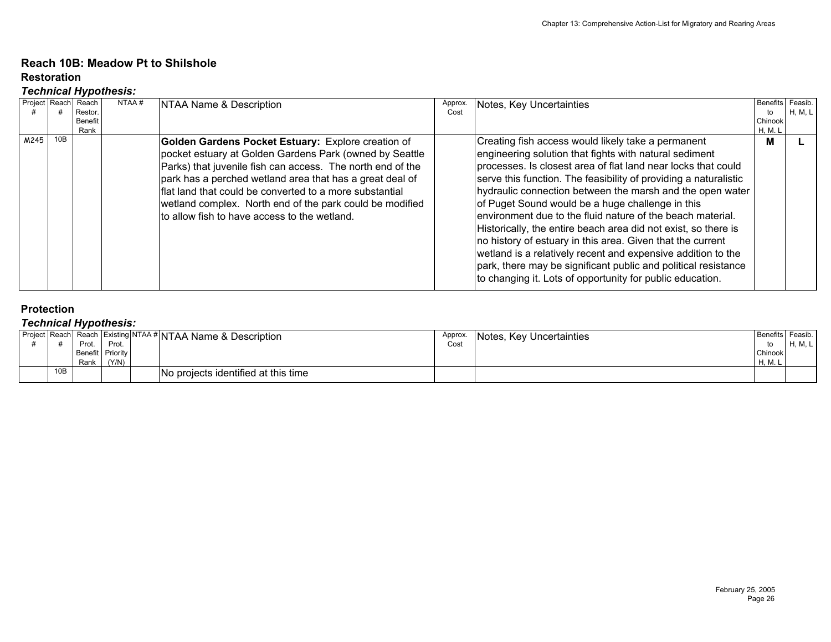# **Reach 10B: Meadow Pt to ShilsholeRestoration**

#### *Technical Hypothesis:*

| Project Reach |     | Reach<br>Restor.<br><b>Benefit</b><br>Rank | NTAA# | NTAA Name & Description                                                                                                                                                                                                                                                                                                                                                                                         | Approx.<br>Cost | Notes, Key Uncertainties                                                                                                                                                                                                                                                                                                                                                                                                                                                                                                                                                                                                                                                                                                                                        | <b>Benefits</b><br>to<br>Chinook<br>H, M. I | Feasib.<br>H, M, L |
|---------------|-----|--------------------------------------------|-------|-----------------------------------------------------------------------------------------------------------------------------------------------------------------------------------------------------------------------------------------------------------------------------------------------------------------------------------------------------------------------------------------------------------------|-----------------|-----------------------------------------------------------------------------------------------------------------------------------------------------------------------------------------------------------------------------------------------------------------------------------------------------------------------------------------------------------------------------------------------------------------------------------------------------------------------------------------------------------------------------------------------------------------------------------------------------------------------------------------------------------------------------------------------------------------------------------------------------------------|---------------------------------------------|--------------------|
| M245          | 10B |                                            |       | Golden Gardens Pocket Estuary: Explore creation of<br>pocket estuary at Golden Gardens Park (owned by Seattle<br>Parks) that juvenile fish can access. The north end of the<br>park has a perched wetland area that has a great deal of<br>Iflat land that could be converted to a more substantial<br>wetland complex. North end of the park could be modified<br>to allow fish to have access to the wetland. |                 | Creating fish access would likely take a permanent<br>engineering solution that fights with natural sediment<br>processes. Is closest area of flat land near locks that could<br>serve this function. The feasibility of providing a naturalistic<br>hydraulic connection between the marsh and the open water<br>of Puget Sound would be a huge challenge in this<br>environment due to the fluid nature of the beach material.<br>Historically, the entire beach area did not exist, so there is<br>no history of estuary in this area. Given that the current<br>wetland is a relatively recent and expensive addition to the<br>park, there may be significant public and political resistance<br>to changing it. Lots of opportunity for public education. | M                                           |                    |

#### **Protection**

|     |                  |       | Project Reach Reach Existing NTAA # NTAA Name & Description | Approx. | Notes, Key Uncertainties | Benefits Feasib. |              |
|-----|------------------|-------|-------------------------------------------------------------|---------|--------------------------|------------------|--------------|
|     | Prot.            | Prot. |                                                             | Cost    |                          | to               | $\mathbf{M}$ |
|     | Benefit Priority |       |                                                             |         |                          | Chinook          |              |
|     | Rank             | (Y/N) |                                                             |         |                          | H, M.            |              |
| 10B |                  |       | No projects identified at this time                         |         |                          |                  |              |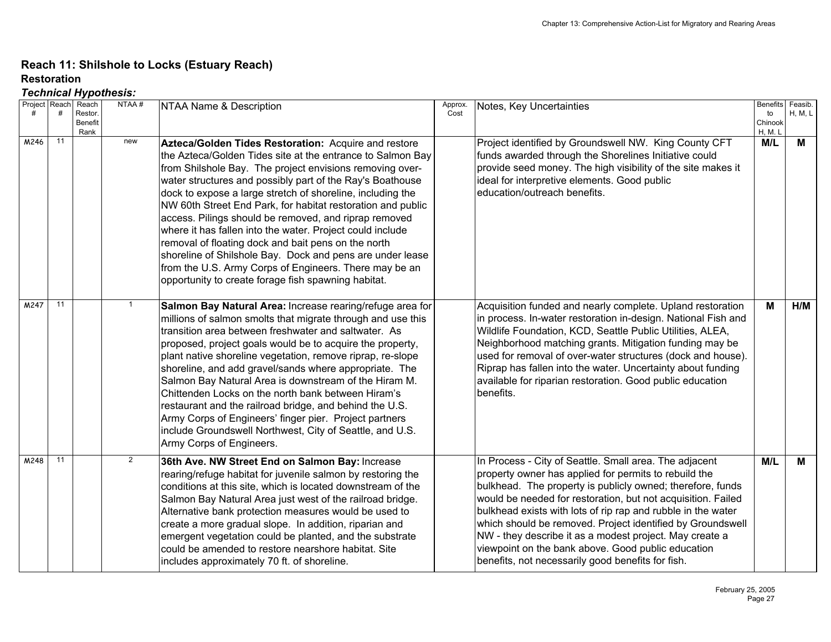# **Reach 11: Shilshole to Locks (Estuary Reach)**

| <b>Technical Hypothesis:</b> |  |
|------------------------------|--|
|------------------------------|--|

| Project Reach<br># | #  | Reach<br>Restor.<br>Benefit<br>Rank | NTAA#          | NTAA Name & Description                                                                                                                                                                                                                                                                                                                                                                                                                                                                                                                                                                                                                                                                                                             | Approx.<br>Cost | Notes, Key Uncertainties                                                                                                                                                                                                                                                                                                                                                                                                                                                                                                                          | <b>Benefits</b><br>to<br>Chinook<br>H, M. L | Feasib.<br>H, M, L |
|--------------------|----|-------------------------------------|----------------|-------------------------------------------------------------------------------------------------------------------------------------------------------------------------------------------------------------------------------------------------------------------------------------------------------------------------------------------------------------------------------------------------------------------------------------------------------------------------------------------------------------------------------------------------------------------------------------------------------------------------------------------------------------------------------------------------------------------------------------|-----------------|---------------------------------------------------------------------------------------------------------------------------------------------------------------------------------------------------------------------------------------------------------------------------------------------------------------------------------------------------------------------------------------------------------------------------------------------------------------------------------------------------------------------------------------------------|---------------------------------------------|--------------------|
| M246               | 11 |                                     | new            | Azteca/Golden Tides Restoration: Acquire and restore<br>the Azteca/Golden Tides site at the entrance to Salmon Bay<br>from Shilshole Bay. The project envisions removing over-<br>water structures and possibly part of the Ray's Boathouse<br>dock to expose a large stretch of shoreline, including the<br>NW 60th Street End Park, for habitat restoration and public<br>access. Pilings should be removed, and riprap removed<br>where it has fallen into the water. Project could include<br>removal of floating dock and bait pens on the north<br>shoreline of Shilshole Bay. Dock and pens are under lease<br>from the U.S. Army Corps of Engineers. There may be an<br>opportunity to create forage fish spawning habitat. |                 | Project identified by Groundswell NW. King County CFT<br>funds awarded through the Shorelines Initiative could<br>provide seed money. The high visibility of the site makes it<br>ideal for interpretive elements. Good public<br>education/outreach benefits.                                                                                                                                                                                                                                                                                    | M/L                                         | M                  |
| M247               | 11 |                                     | $\mathbf{1}$   | Salmon Bay Natural Area: Increase rearing/refuge area for<br>millions of salmon smolts that migrate through and use this<br>transition area between freshwater and saltwater. As<br>proposed, project goals would be to acquire the property,<br>plant native shoreline vegetation, remove riprap, re-slope<br>shoreline, and add gravel/sands where appropriate. The<br>Salmon Bay Natural Area is downstream of the Hiram M.<br>Chittenden Locks on the north bank between Hiram's<br>restaurant and the railroad bridge, and behind the U.S.<br>Army Corps of Engineers' finger pier. Project partners<br>include Groundswell Northwest, City of Seattle, and U.S.<br>Army Corps of Engineers.                                   |                 | Acquisition funded and nearly complete. Upland restoration<br>in process. In-water restoration in-design. National Fish and<br>Wildlife Foundation, KCD, Seattle Public Utilities, ALEA,<br>Neighborhood matching grants. Mitigation funding may be<br>used for removal of over-water structures (dock and house).<br>Riprap has fallen into the water. Uncertainty about funding<br>available for riparian restoration. Good public education<br>benefits.                                                                                       | м                                           | H/M                |
| M248               | 11 |                                     | $\overline{2}$ | 36th Ave. NW Street End on Salmon Bay: Increase<br>rearing/refuge habitat for juvenile salmon by restoring the<br>conditions at this site, which is located downstream of the<br>Salmon Bay Natural Area just west of the railroad bridge.<br>Alternative bank protection measures would be used to<br>create a more gradual slope. In addition, riparian and<br>emergent vegetation could be planted, and the substrate<br>could be amended to restore nearshore habitat. Site<br>includes approximately 70 ft. of shoreline.                                                                                                                                                                                                      |                 | In Process - City of Seattle. Small area. The adjacent<br>property owner has applied for permits to rebuild the<br>bulkhead. The property is publicly owned; therefore, funds<br>would be needed for restoration, but not acquisition. Failed<br>bulkhead exists with lots of rip rap and rubble in the water<br>which should be removed. Project identified by Groundswell<br>NW - they describe it as a modest project. May create a<br>viewpoint on the bank above. Good public education<br>benefits, not necessarily good benefits for fish. | M/L                                         | M                  |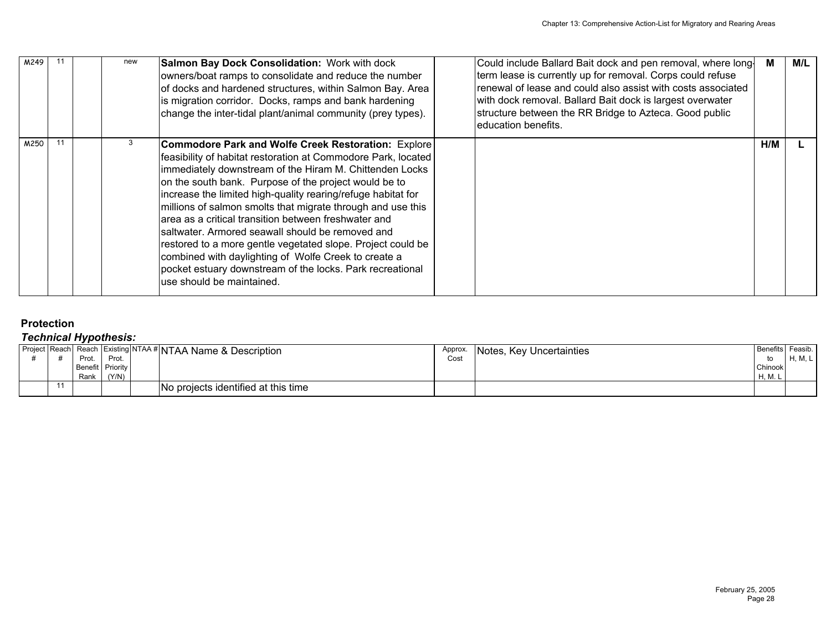| M249 |  | new | Salmon Bay Dock Consolidation: Work with dock<br>owners/boat ramps to consolidate and reduce the number<br>of docks and hardened structures, within Salmon Bay. Area<br>is migration corridor. Docks, ramps and bank hardening<br>change the inter-tidal plant/animal community (prey types).                                                                                                                                                                                                                                                                                                                                                                                                          | Could include Ballard Bait dock and pen removal, where long<br>term lease is currently up for removal. Corps could refuse<br>renewal of lease and could also assist with costs associated<br>with dock removal. Ballard Bait dock is largest overwater<br>structure between the RR Bridge to Azteca. Good public<br>leducation benefits. | м   | M/L |
|------|--|-----|--------------------------------------------------------------------------------------------------------------------------------------------------------------------------------------------------------------------------------------------------------------------------------------------------------------------------------------------------------------------------------------------------------------------------------------------------------------------------------------------------------------------------------------------------------------------------------------------------------------------------------------------------------------------------------------------------------|------------------------------------------------------------------------------------------------------------------------------------------------------------------------------------------------------------------------------------------------------------------------------------------------------------------------------------------|-----|-----|
| M250 |  | 3   | Commodore Park and Wolfe Creek Restoration: Explore<br>feasibility of habitat restoration at Commodore Park, located<br>immediately downstream of the Hiram M. Chittenden Locks<br>on the south bank. Purpose of the project would be to<br>increase the limited high-quality rearing/refuge habitat for<br>millions of salmon smolts that migrate through and use this<br>larea as a critical transition between freshwater and<br>Isaltwater. Armored seawall should be removed and<br>restored to a more gentle vegetated slope. Project could be<br>combined with daylighting of Wolfe Creek to create a<br>pocket estuary downstream of the locks. Park recreational<br>use should be maintained. |                                                                                                                                                                                                                                                                                                                                          | H/M |     |

|  |      |                         | Project   Reach   Reach   Existing   NTAA #   NTAA Name & Description | Approx. | Notes, Key Uncertainties | Benefits Feasib. |         |
|--|------|-------------------------|-----------------------------------------------------------------------|---------|--------------------------|------------------|---------|
|  | Prot | Prot.                   |                                                                       | Cost    |                          | to               | H, M, L |
|  |      | <b>Benefit Priority</b> |                                                                       |         |                          | Chinook          |         |
|  | Rank | (Y/N)                   |                                                                       |         |                          | H, M.            |         |
|  |      |                         | No projects identified at this time                                   |         |                          |                  |         |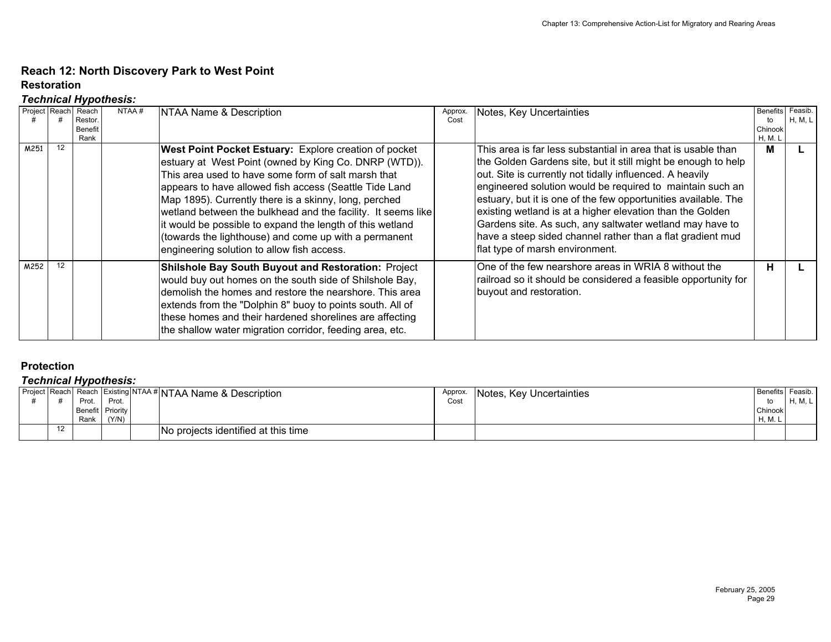### **Reach 12: North Discovery Park to West Point Restoration**

# *Technical Hypothesis:*

|      |    | Project Reach Reach<br>Restor. | NTAA# | NTAA Name & Description                                                                                                                                                                                                                                                                                                                                                                                                                                                                                                             | Approx.<br>Cost | Notes, Key Uncertainties                                                                                                                                                                                                                                                                                                                                                                                                                                                                                                                            | <b>Benefits</b><br>to | Feasib.<br><b>H, M, L</b> |
|------|----|--------------------------------|-------|-------------------------------------------------------------------------------------------------------------------------------------------------------------------------------------------------------------------------------------------------------------------------------------------------------------------------------------------------------------------------------------------------------------------------------------------------------------------------------------------------------------------------------------|-----------------|-----------------------------------------------------------------------------------------------------------------------------------------------------------------------------------------------------------------------------------------------------------------------------------------------------------------------------------------------------------------------------------------------------------------------------------------------------------------------------------------------------------------------------------------------------|-----------------------|---------------------------|
|      |    | <b>Benefit</b><br>Rank         |       |                                                                                                                                                                                                                                                                                                                                                                                                                                                                                                                                     |                 |                                                                                                                                                                                                                                                                                                                                                                                                                                                                                                                                                     | Chinook<br>H, M. I    |                           |
| M251 | 12 |                                |       | <b>West Point Pocket Estuary:</b> Explore creation of pocket<br>estuary at West Point (owned by King Co. DNRP (WTD)).<br>This area used to have some form of salt marsh that<br>appears to have allowed fish access (Seattle Tide Land<br>Map 1895). Currently there is a skinny, long, perched<br>wetland between the bulkhead and the facility. It seems like<br>it would be possible to expand the length of this wetland<br>(towards the lighthouse) and come up with a permanent<br>engineering solution to allow fish access. |                 | This area is far less substantial in area that is usable than<br>the Golden Gardens site, but it still might be enough to help<br>out. Site is currently not tidally influenced. A heavily<br>engineered solution would be required to maintain such an<br>estuary, but it is one of the few opportunities available. The<br>existing wetland is at a higher elevation than the Golden<br>Gardens site. As such, any saltwater wetland may have to<br>have a steep sided channel rather than a flat gradient mud<br>flat type of marsh environment. | М                     |                           |
| M252 | 12 |                                |       | Shilshole Bay South Buyout and Restoration: Project<br>would buy out homes on the south side of Shilshole Bay,<br>demolish the homes and restore the nearshore. This area<br>extends from the "Dolphin 8" buoy to points south. All of<br>these homes and their hardened shorelines are affecting<br>the shallow water migration corridor, feeding area, etc.                                                                                                                                                                       |                 | One of the few nearshore areas in WRIA 8 without the<br>railroad so it should be considered a feasible opportunity for<br>buyout and restoration.                                                                                                                                                                                                                                                                                                                                                                                                   | н                     |                           |

# **Protection**

|     |       |                  | Project Reach Reach Existing NTAA # NTAA Name & Description | Approx. | Notes, Key Uncertainties | Benefits | l Feasib. |
|-----|-------|------------------|-------------------------------------------------------------|---------|--------------------------|----------|-----------|
|     | Prot. | Prot.            |                                                             | Cost    |                          | to       | H, M, L   |
|     |       | Benefit Priority |                                                             |         |                          | Chinook  |           |
|     | Rank  | (Y/N)            |                                                             |         |                          | H, M. L  |           |
| ۱Z. |       |                  | No projects identified at this time                         |         |                          |          |           |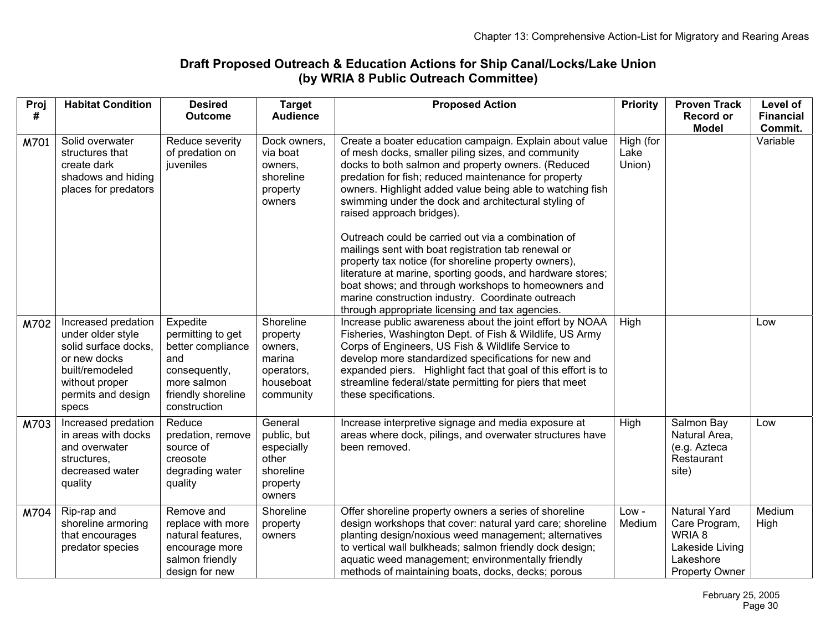# **Draft Proposed Outreach & Education Actions for Ship Canal/Locks/Lake Union (by WRIA 8 Public Outreach Committee)**

| Proj<br># | <b>Habitat Condition</b>                                                                                                                             | <b>Desired</b><br><b>Outcome</b>                                                                                                | <b>Target</b><br><b>Audience</b>                                                   | <b>Proposed Action</b>                                                                                                                                                                                                                                                                                                                                                                                                                                                                                                                                                                                                                                                                                                                                                          | <b>Priority</b>             | <b>Proven Track</b><br><b>Record or</b>                                                          | Level of<br><b>Financial</b> |
|-----------|------------------------------------------------------------------------------------------------------------------------------------------------------|---------------------------------------------------------------------------------------------------------------------------------|------------------------------------------------------------------------------------|---------------------------------------------------------------------------------------------------------------------------------------------------------------------------------------------------------------------------------------------------------------------------------------------------------------------------------------------------------------------------------------------------------------------------------------------------------------------------------------------------------------------------------------------------------------------------------------------------------------------------------------------------------------------------------------------------------------------------------------------------------------------------------|-----------------------------|--------------------------------------------------------------------------------------------------|------------------------------|
|           |                                                                                                                                                      |                                                                                                                                 |                                                                                    |                                                                                                                                                                                                                                                                                                                                                                                                                                                                                                                                                                                                                                                                                                                                                                                 |                             | <b>Model</b>                                                                                     | Commit.                      |
| M701      | Solid overwater<br>structures that<br>create dark<br>shadows and hiding<br>places for predators                                                      | Reduce severity<br>of predation on<br>juveniles                                                                                 | Dock owners.<br>via boat<br>owners,<br>shoreline<br>property<br>owners             | Create a boater education campaign. Explain about value<br>of mesh docks, smaller piling sizes, and community<br>docks to both salmon and property owners. (Reduced<br>predation for fish; reduced maintenance for property<br>owners. Highlight added value being able to watching fish<br>swimming under the dock and architectural styling of<br>raised approach bridges).<br>Outreach could be carried out via a combination of<br>mailings sent with boat registration tab renewal or<br>property tax notice (for shoreline property owners),<br>literature at marine, sporting goods, and hardware stores;<br>boat shows; and through workshops to homeowners and<br>marine construction industry. Coordinate outreach<br>through appropriate licensing and tax agencies. | High (for<br>Lake<br>Union) |                                                                                                  | Variable                     |
| M702      | Increased predation<br>under older style<br>solid surface docks,<br>or new docks<br>built/remodeled<br>without proper<br>permits and design<br>specs | Expedite<br>permitting to get<br>better compliance<br>and<br>consequently,<br>more salmon<br>friendly shoreline<br>construction | Shoreline<br>property<br>owners,<br>marina<br>operators,<br>houseboat<br>community | Increase public awareness about the joint effort by NOAA<br>Fisheries, Washington Dept. of Fish & Wildlife, US Army<br>Corps of Engineers, US Fish & Wildlife Service to<br>develop more standardized specifications for new and<br>expanded piers. Highlight fact that goal of this effort is to<br>streamline federal/state permitting for piers that meet<br>these specifications.                                                                                                                                                                                                                                                                                                                                                                                           | High                        |                                                                                                  | Low                          |
| M703      | Increased predation<br>in areas with docks<br>and overwater<br>structures.<br>decreased water<br>quality                                             | Reduce<br>predation, remove<br>source of<br>creosote<br>degrading water<br>quality                                              | General<br>public, but<br>especially<br>other<br>shoreline<br>property<br>owners   | Increase interpretive signage and media exposure at<br>areas where dock, pilings, and overwater structures have<br>been removed.                                                                                                                                                                                                                                                                                                                                                                                                                                                                                                                                                                                                                                                | High                        | Salmon Bay<br>Natural Area,<br>(e.g. Azteca<br>Restaurant<br>site)                               | Low                          |
| M704      | Rip-rap and<br>shoreline armoring<br>that encourages<br>predator species                                                                             | Remove and<br>replace with more<br>natural features,<br>encourage more<br>salmon friendly<br>design for new                     | Shoreline<br>property<br>owners                                                    | Offer shoreline property owners a series of shoreline<br>design workshops that cover: natural yard care; shoreline<br>planting design/noxious weed management; alternatives<br>to vertical wall bulkheads; salmon friendly dock design;<br>aquatic weed management; environmentally friendly<br>methods of maintaining boats, docks, decks; porous                                                                                                                                                                                                                                                                                                                                                                                                                              | $Low -$<br>Medium           | <b>Natural Yard</b><br>Care Program,<br>WRIA 8<br>Lakeside Living<br>Lakeshore<br>Property Owner | Medium<br>High               |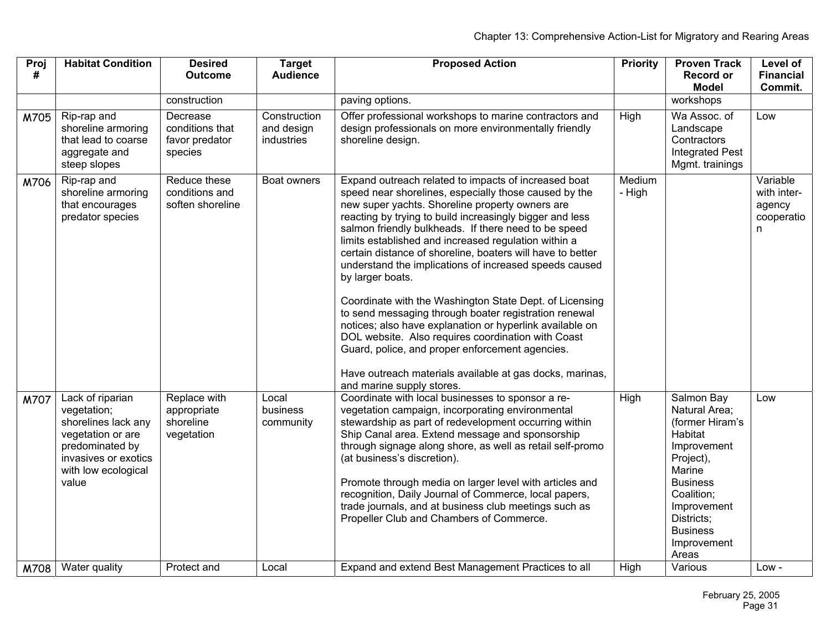| Proj<br># | <b>Habitat Condition</b>                                                                                                                               | <b>Desired</b><br><b>Outcome</b>                         | <b>Target</b><br><b>Audience</b>         | <b>Proposed Action</b>                                                                                                                                                                                                                                                                                                                                                                                                                                                                                                                                                                                                                                                                                                                                                                                                                                                     | <b>Priority</b>  | <b>Proven Track</b><br><b>Record or</b><br>Model                                                                                                                                                         | Level of<br><b>Financial</b><br>Commit.              |
|-----------|--------------------------------------------------------------------------------------------------------------------------------------------------------|----------------------------------------------------------|------------------------------------------|----------------------------------------------------------------------------------------------------------------------------------------------------------------------------------------------------------------------------------------------------------------------------------------------------------------------------------------------------------------------------------------------------------------------------------------------------------------------------------------------------------------------------------------------------------------------------------------------------------------------------------------------------------------------------------------------------------------------------------------------------------------------------------------------------------------------------------------------------------------------------|------------------|----------------------------------------------------------------------------------------------------------------------------------------------------------------------------------------------------------|------------------------------------------------------|
|           |                                                                                                                                                        | construction                                             |                                          | paving options.                                                                                                                                                                                                                                                                                                                                                                                                                                                                                                                                                                                                                                                                                                                                                                                                                                                            |                  | workshops                                                                                                                                                                                                |                                                      |
| M705      | Rip-rap and<br>shoreline armoring<br>that lead to coarse<br>aggregate and<br>steep slopes                                                              | Decrease<br>conditions that<br>favor predator<br>species | Construction<br>and design<br>industries | Offer professional workshops to marine contractors and<br>design professionals on more environmentally friendly<br>shoreline design.                                                                                                                                                                                                                                                                                                                                                                                                                                                                                                                                                                                                                                                                                                                                       | High             | Wa Assoc. of<br>Landscape<br>Contractors<br><b>Integrated Pest</b><br>Mgmt. trainings                                                                                                                    | Low                                                  |
| M706      | Rip-rap and<br>shoreline armoring<br>that encourages<br>predator species                                                                               | Reduce these<br>conditions and<br>soften shoreline       | Boat owners                              | Expand outreach related to impacts of increased boat<br>speed near shorelines, especially those caused by the<br>new super yachts. Shoreline property owners are<br>reacting by trying to build increasingly bigger and less<br>salmon friendly bulkheads. If there need to be speed<br>limits established and increased regulation within a<br>certain distance of shoreline, boaters will have to better<br>understand the implications of increased speeds caused<br>by larger boats.<br>Coordinate with the Washington State Dept. of Licensing<br>to send messaging through boater registration renewal<br>notices; also have explanation or hyperlink available on<br>DOL website. Also requires coordination with Coast<br>Guard, police, and proper enforcement agencies.<br>Have outreach materials available at gas docks, marinas,<br>and marine supply stores. | Medium<br>- High |                                                                                                                                                                                                          | Variable<br>with inter-<br>agency<br>cooperatio<br>n |
| M707      | Lack of riparian<br>vegetation;<br>shorelines lack any<br>vegetation or are<br>predominated by<br>invasives or exotics<br>with low ecological<br>value | Replace with<br>appropriate<br>shoreline<br>vegetation   | Local<br>business<br>community           | Coordinate with local businesses to sponsor a re-<br>vegetation campaign, incorporating environmental<br>stewardship as part of redevelopment occurring within<br>Ship Canal area. Extend message and sponsorship<br>through signage along shore, as well as retail self-promo<br>(at business's discretion).<br>Promote through media on larger level with articles and<br>recognition, Daily Journal of Commerce, local papers,<br>trade journals, and at business club meetings such as<br>Propeller Club and Chambers of Commerce.                                                                                                                                                                                                                                                                                                                                     | High             | Salmon Bay<br>Natural Area;<br>(former Hiram's<br>Habitat<br>Improvement<br>Project),<br>Marine<br><b>Business</b><br>Coalition;<br>Improvement<br>Districts;<br><b>Business</b><br>Improvement<br>Areas | Low                                                  |
| M708      | Water quality                                                                                                                                          | Protect and                                              | Local                                    | Expand and extend Best Management Practices to all                                                                                                                                                                                                                                                                                                                                                                                                                                                                                                                                                                                                                                                                                                                                                                                                                         | High             | Various                                                                                                                                                                                                  | $Low -$                                              |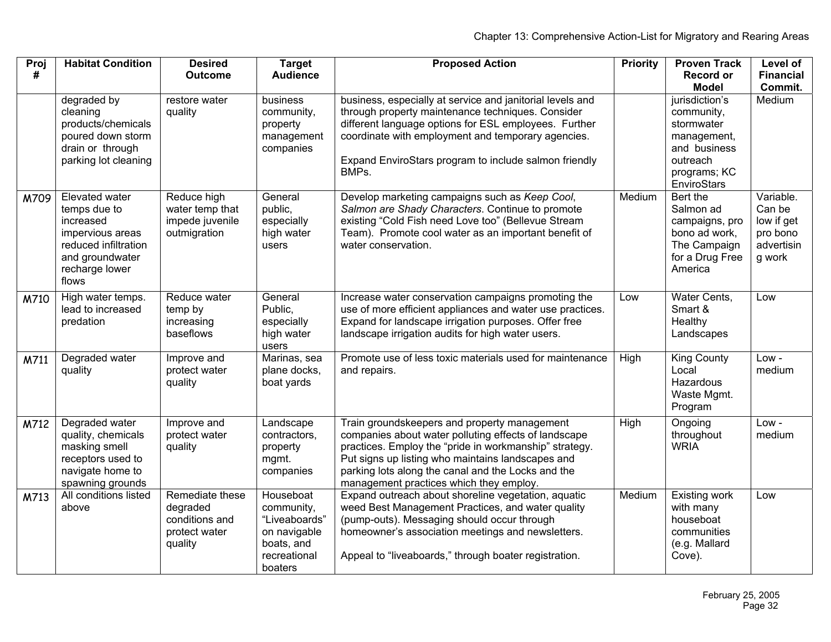| Proj<br># | <b>Habitat Condition</b>                                                                                                              | <b>Desired</b><br><b>Outcome</b>                                          | <b>Target</b><br><b>Audience</b>                                                                  | <b>Proposed Action</b>                                                                                                                                                                                                                                                                                               | <b>Priority</b> | <b>Proven Track</b><br><b>Record or</b><br><b>Model</b>                                                              | <b>Level of</b><br><b>Financial</b><br>Commit.                        |
|-----------|---------------------------------------------------------------------------------------------------------------------------------------|---------------------------------------------------------------------------|---------------------------------------------------------------------------------------------------|----------------------------------------------------------------------------------------------------------------------------------------------------------------------------------------------------------------------------------------------------------------------------------------------------------------------|-----------------|----------------------------------------------------------------------------------------------------------------------|-----------------------------------------------------------------------|
|           | degraded by<br>cleaning<br>products/chemicals<br>poured down storm<br>drain or through<br>parking lot cleaning                        | restore water<br>quality                                                  | business<br>community,<br>property<br>management<br>companies                                     | business, especially at service and janitorial levels and<br>through property maintenance techniques. Consider<br>different language options for ESL employees. Further<br>coordinate with employment and temporary agencies.<br>Expand EnviroStars program to include salmon friendly<br>BMPs.                      |                 | jurisdiction's<br>community,<br>stormwater<br>management,<br>and business<br>outreach<br>programs; KC<br>EnviroStars | Medium                                                                |
| M709      | Elevated water<br>temps due to<br>increased<br>impervious areas<br>reduced infiltration<br>and groundwater<br>recharge lower<br>flows | Reduce high<br>water temp that<br>impede juvenile<br>outmigration         | General<br>public,<br>especially<br>high water<br>users                                           | Develop marketing campaigns such as Keep Cool,<br>Salmon are Shady Characters. Continue to promote<br>existing "Cold Fish need Love too" (Bellevue Stream<br>Team). Promote cool water as an important benefit of<br>water conservation.                                                                             | Medium          | Bert the<br>Salmon ad<br>campaigns, pro<br>bono ad work,<br>The Campaign<br>for a Drug Free<br>America               | Variable.<br>Can be<br>low if get<br>pro bono<br>advertisin<br>g work |
| M710      | High water temps.<br>lead to increased<br>predation                                                                                   | Reduce water<br>temp by<br>increasing<br>baseflows                        | General<br>Public.<br>especially<br>high water<br>users                                           | Increase water conservation campaigns promoting the<br>use of more efficient appliances and water use practices.<br>Expand for landscape irrigation purposes. Offer free<br>landscape irrigation audits for high water users.                                                                                        | Low             | Water Cents,<br>Smart &<br>Healthy<br>Landscapes                                                                     | Low                                                                   |
| M711      | Degraded water<br>quality                                                                                                             | Improve and<br>protect water<br>quality                                   | Marinas, sea<br>plane docks,<br>boat yards                                                        | Promote use of less toxic materials used for maintenance<br>and repairs.                                                                                                                                                                                                                                             | High            | <b>King County</b><br>Local<br>Hazardous<br>Waste Mgmt.<br>Program                                                   | Low -<br>medium                                                       |
| M712      | Degraded water<br>quality, chemicals<br>masking smell<br>receptors used to<br>navigate home to<br>spawning grounds                    | Improve and<br>protect water<br>quality                                   | Landscape<br>contractors,<br>property<br>mgmt.<br>companies                                       | Train groundskeepers and property management<br>companies about water polluting effects of landscape<br>practices. Employ the "pride in workmanship" strategy.<br>Put signs up listing who maintains landscapes and<br>parking lots along the canal and the Locks and the<br>management practices which they employ. | High            | Ongoing<br>throughout<br><b>WRIA</b>                                                                                 | Low-<br>medium                                                        |
| M713      | All conditions listed<br>above                                                                                                        | Remediate these<br>degraded<br>conditions and<br>protect water<br>quality | Houseboat<br>community,<br>"Liveaboards"<br>on navigable<br>boats, and<br>recreational<br>boaters | Expand outreach about shoreline vegetation, aquatic<br>weed Best Management Practices, and water quality<br>(pump-outs). Messaging should occur through<br>homeowner's association meetings and newsletters.<br>Appeal to "liveaboards," through boater registration.                                                | Medium          | Existing work<br>with many<br>houseboat<br>communities<br>(e.g. Mallard<br>Cove).                                    | Low                                                                   |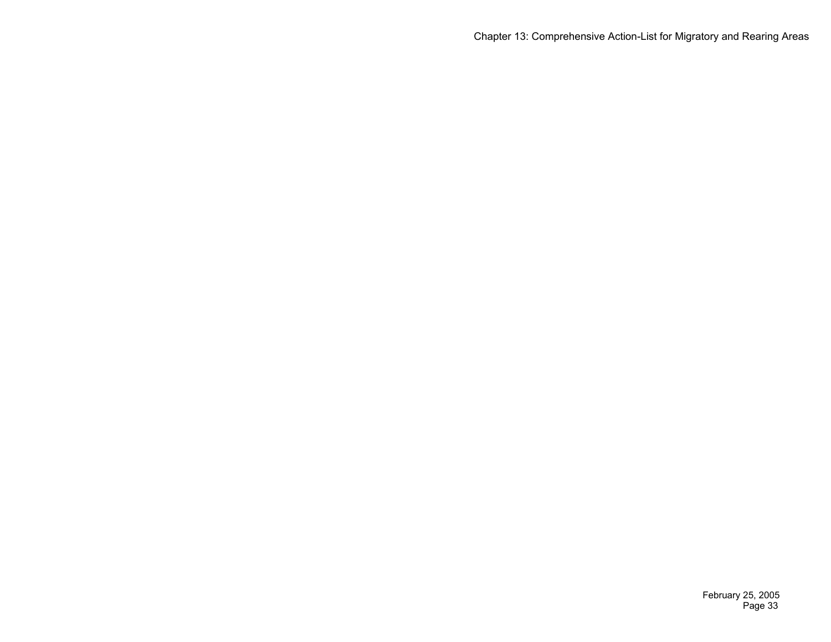Chapter 13: Comprehensive Action-List for Migratory and Rearing Areas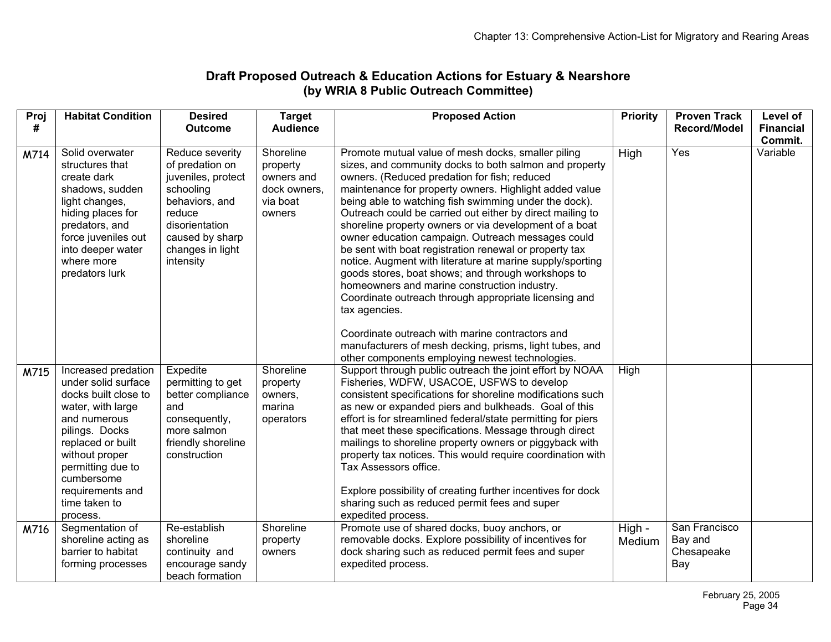# **Draft Proposed Outreach & Education Actions for Estuary & Nearshore (by WRIA 8 Public Outreach Committee)**

| Proj<br># | <b>Habitat Condition</b>                                                                                                                                                                                                                             | <b>Desired</b><br><b>Outcome</b>                                                                                                                                        | <b>Target</b><br><b>Audience</b>                                          | <b>Proposed Action</b>                                                                                                                                                                                                                                                                                                                                                                                                                                                                                                                                                                                                                                                                                                                                                                                                                                                                                                              | <b>Priority</b>  | <b>Proven Track</b><br>Record/Model           | Level of<br><b>Financial</b> |
|-----------|------------------------------------------------------------------------------------------------------------------------------------------------------------------------------------------------------------------------------------------------------|-------------------------------------------------------------------------------------------------------------------------------------------------------------------------|---------------------------------------------------------------------------|-------------------------------------------------------------------------------------------------------------------------------------------------------------------------------------------------------------------------------------------------------------------------------------------------------------------------------------------------------------------------------------------------------------------------------------------------------------------------------------------------------------------------------------------------------------------------------------------------------------------------------------------------------------------------------------------------------------------------------------------------------------------------------------------------------------------------------------------------------------------------------------------------------------------------------------|------------------|-----------------------------------------------|------------------------------|
|           |                                                                                                                                                                                                                                                      |                                                                                                                                                                         |                                                                           |                                                                                                                                                                                                                                                                                                                                                                                                                                                                                                                                                                                                                                                                                                                                                                                                                                                                                                                                     |                  |                                               | Commit.                      |
| M714      | Solid overwater<br>structures that<br>create dark<br>shadows, sudden<br>light changes,<br>hiding places for<br>predators, and<br>force juveniles out<br>into deeper water<br>where more<br>predators lurk                                            | Reduce severity<br>of predation on<br>juveniles, protect<br>schooling<br>behaviors, and<br>reduce<br>disorientation<br>caused by sharp<br>changes in light<br>intensity | Shoreline<br>property<br>owners and<br>dock owners,<br>via boat<br>owners | Promote mutual value of mesh docks, smaller piling<br>sizes, and community docks to both salmon and property<br>owners. (Reduced predation for fish; reduced<br>maintenance for property owners. Highlight added value<br>being able to watching fish swimming under the dock).<br>Outreach could be carried out either by direct mailing to<br>shoreline property owners or via development of a boat<br>owner education campaign. Outreach messages could<br>be sent with boat registration renewal or property tax<br>notice. Augment with literature at marine supply/sporting<br>goods stores, boat shows; and through workshops to<br>homeowners and marine construction industry.<br>Coordinate outreach through appropriate licensing and<br>tax agencies.<br>Coordinate outreach with marine contractors and<br>manufacturers of mesh decking, prisms, light tubes, and<br>other components employing newest technologies. | High             | Yes                                           | Variable                     |
| M715      | Increased predation<br>under solid surface<br>docks built close to<br>water, with large<br>and numerous<br>pilings. Docks<br>replaced or built<br>without proper<br>permitting due to<br>cumbersome<br>requirements and<br>time taken to<br>process. | Expedite<br>permitting to get<br>better compliance<br>and<br>consequently,<br>more salmon<br>friendly shoreline<br>construction                                         | Shoreline<br>property<br>owners,<br>marina<br>operators                   | Support through public outreach the joint effort by NOAA<br>Fisheries, WDFW, USACOE, USFWS to develop<br>consistent specifications for shoreline modifications such<br>as new or expanded piers and bulkheads. Goal of this<br>effort is for streamlined federal/state permitting for piers<br>that meet these specifications. Message through direct<br>mailings to shoreline property owners or piggyback with<br>property tax notices. This would require coordination with<br>Tax Assessors office.<br>Explore possibility of creating further incentives for dock<br>sharing such as reduced permit fees and super<br>expedited process.                                                                                                                                                                                                                                                                                       | High             |                                               |                              |
| M716      | Segmentation of<br>shoreline acting as<br>barrier to habitat<br>forming processes                                                                                                                                                                    | Re-establish<br>shoreline<br>continuity and<br>encourage sandy<br>beach formation                                                                                       | Shoreline<br>property<br>owners                                           | Promote use of shared docks, buoy anchors, or<br>removable docks. Explore possibility of incentives for<br>dock sharing such as reduced permit fees and super<br>expedited process.                                                                                                                                                                                                                                                                                                                                                                                                                                                                                                                                                                                                                                                                                                                                                 | High -<br>Medium | San Francisco<br>Bay and<br>Chesapeake<br>Bay |                              |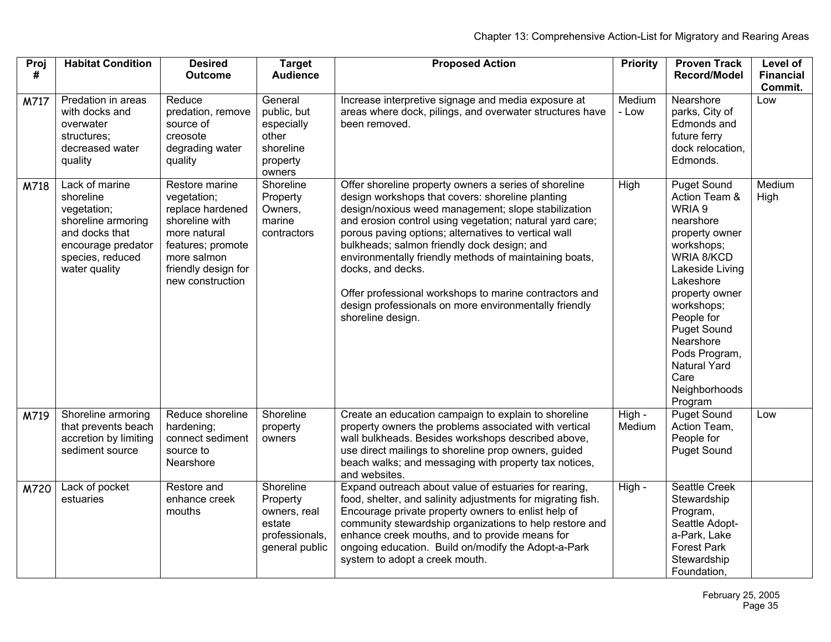| Proj<br># | <b>Habitat Condition</b>                                                                                                                      | <b>Desired</b><br><b>Outcome</b>                                                                                                                                   | <b>Target</b><br><b>Audience</b>                                                    | <b>Proposed Action</b>                                                                                                                                                                                                                                                                                                                                                                                                                                                                                                                                     | <b>Priority</b>  | <b>Proven Track</b><br>Record/Model                                                                                                                                                                                                                                                                   | Level of<br><b>Financial</b> |
|-----------|-----------------------------------------------------------------------------------------------------------------------------------------------|--------------------------------------------------------------------------------------------------------------------------------------------------------------------|-------------------------------------------------------------------------------------|------------------------------------------------------------------------------------------------------------------------------------------------------------------------------------------------------------------------------------------------------------------------------------------------------------------------------------------------------------------------------------------------------------------------------------------------------------------------------------------------------------------------------------------------------------|------------------|-------------------------------------------------------------------------------------------------------------------------------------------------------------------------------------------------------------------------------------------------------------------------------------------------------|------------------------------|
|           |                                                                                                                                               |                                                                                                                                                                    |                                                                                     |                                                                                                                                                                                                                                                                                                                                                                                                                                                                                                                                                            |                  |                                                                                                                                                                                                                                                                                                       | Commit.                      |
| M717      | Predation in areas<br>with docks and<br>overwater<br>structures:<br>decreased water<br>quality                                                | Reduce<br>predation, remove<br>source of<br>creosote<br>degrading water<br>quality                                                                                 | General<br>public, but<br>especially<br>other<br>shoreline<br>property<br>owners    | Increase interpretive signage and media exposure at<br>areas where dock, pilings, and overwater structures have<br>been removed.                                                                                                                                                                                                                                                                                                                                                                                                                           | Medium<br>- Low  | Nearshore<br>parks, City of<br>Edmonds and<br>future ferry<br>dock relocation,<br>Edmonds.                                                                                                                                                                                                            | Low                          |
| M718      | Lack of marine<br>shoreline<br>vegetation;<br>shoreline armoring<br>and docks that<br>encourage predator<br>species, reduced<br>water quality | Restore marine<br>vegetation;<br>replace hardened<br>shoreline with<br>more natural<br>features; promote<br>more salmon<br>friendly design for<br>new construction | Shoreline<br>Property<br>Owners,<br>marine<br>contractors                           | Offer shoreline property owners a series of shoreline<br>design workshops that covers: shoreline planting<br>design/noxious weed management; slope stabilization<br>and erosion control using vegetation; natural yard care;<br>porous paving options; alternatives to vertical wall<br>bulkheads; salmon friendly dock design; and<br>environmentally friendly methods of maintaining boats,<br>docks, and decks.<br>Offer professional workshops to marine contractors and<br>design professionals on more environmentally friendly<br>shoreline design. | High             | <b>Puget Sound</b><br>Action Team &<br>WRIA 9<br>nearshore<br>property owner<br>workshops;<br>WRIA 8/KCD<br>Lakeside Living<br>Lakeshore<br>property owner<br>workshops;<br>People for<br><b>Puget Sound</b><br>Nearshore<br>Pods Program,<br><b>Natural Yard</b><br>Care<br>Neighborhoods<br>Program | Medium<br>High               |
| M719      | Shoreline armoring<br>that prevents beach<br>accretion by limiting<br>sediment source                                                         | Reduce shoreline<br>hardening;<br>connect sediment<br>source to<br>Nearshore                                                                                       | Shoreline<br>property<br>owners                                                     | Create an education campaign to explain to shoreline<br>property owners the problems associated with vertical<br>wall bulkheads. Besides workshops described above,<br>use direct mailings to shoreline prop owners, guided<br>beach walks; and messaging with property tax notices,<br>and websites.                                                                                                                                                                                                                                                      | High -<br>Medium | Puget Sound<br>Action Team,<br>People for<br><b>Puget Sound</b>                                                                                                                                                                                                                                       | Low                          |
| M720      | Lack of pocket<br>estuaries                                                                                                                   | Restore and<br>enhance creek<br>mouths                                                                                                                             | Shoreline<br>Property<br>owners, real<br>estate<br>professionals,<br>general public | Expand outreach about value of estuaries for rearing,<br>food, shelter, and salinity adjustments for migrating fish.<br>Encourage private property owners to enlist help of<br>community stewardship organizations to help restore and<br>enhance creek mouths, and to provide means for<br>ongoing education. Build on/modify the Adopt-a-Park<br>system to adopt a creek mouth.                                                                                                                                                                          | High -           | <b>Seattle Creek</b><br>Stewardship<br>Program,<br>Seattle Adopt-<br>a-Park, Lake<br><b>Forest Park</b><br>Stewardship<br>Foundation,                                                                                                                                                                 |                              |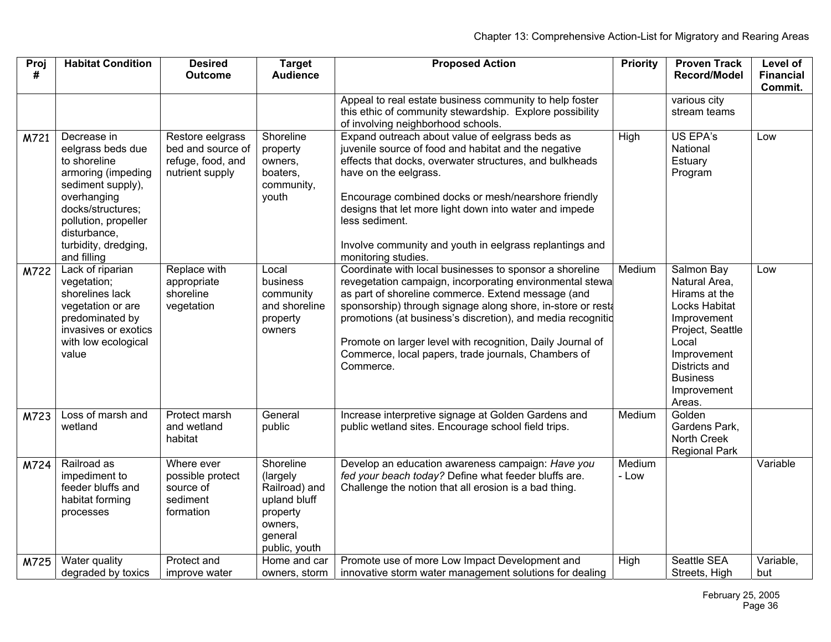| Proj<br># | <b>Habitat Condition</b>                                                                                                                                                                                       | <b>Desired</b><br>Outcome                                                     | <b>Target</b><br><b>Audience</b>                                                                          | <b>Proposed Action</b>                                                                                                                                                                                                                                                                                                                                                                                                                    | <b>Priority</b> | <b>Proven Track</b><br><b>Record/Model</b>                                                                                                                                            | Level of<br><b>Financial</b> |
|-----------|----------------------------------------------------------------------------------------------------------------------------------------------------------------------------------------------------------------|-------------------------------------------------------------------------------|-----------------------------------------------------------------------------------------------------------|-------------------------------------------------------------------------------------------------------------------------------------------------------------------------------------------------------------------------------------------------------------------------------------------------------------------------------------------------------------------------------------------------------------------------------------------|-----------------|---------------------------------------------------------------------------------------------------------------------------------------------------------------------------------------|------------------------------|
|           |                                                                                                                                                                                                                |                                                                               |                                                                                                           |                                                                                                                                                                                                                                                                                                                                                                                                                                           |                 |                                                                                                                                                                                       | Commit.                      |
|           |                                                                                                                                                                                                                |                                                                               |                                                                                                           | Appeal to real estate business community to help foster<br>this ethic of community stewardship. Explore possibility<br>of involving neighborhood schools.                                                                                                                                                                                                                                                                                 |                 | various city<br>stream teams                                                                                                                                                          |                              |
| M721      | Decrease in<br>eelgrass beds due<br>to shoreline<br>armoring (impeding<br>sediment supply),<br>overhanging<br>docks/structures;<br>pollution, propeller<br>disturbance,<br>turbidity, dredging,<br>and filling | Restore eelgrass<br>bed and source of<br>refuge, food, and<br>nutrient supply | Shoreline<br>property<br>owners,<br>boaters,<br>community,<br>youth                                       | Expand outreach about value of eelgrass beds as<br>juvenile source of food and habitat and the negative<br>effects that docks, overwater structures, and bulkheads<br>have on the eelgrass.<br>Encourage combined docks or mesh/nearshore friendly<br>designs that let more light down into water and impede<br>less sediment.<br>Involve community and youth in eelgrass replantings and<br>monitoring studies.                          | High            | <b>US EPA's</b><br>National<br>Estuary<br>Program                                                                                                                                     | Low                          |
| M722      | Lack of riparian<br>vegetation;<br>shorelines lack<br>vegetation or are<br>predominated by<br>invasives or exotics<br>with low ecological<br>value                                                             | Replace with<br>appropriate<br>shoreline<br>vegetation                        | Local<br>business<br>community<br>and shoreline<br>property<br>owners                                     | Coordinate with local businesses to sponsor a shoreline<br>revegetation campaign, incorporating environmental stewa<br>as part of shoreline commerce. Extend message (and<br>sponsorship) through signage along shore, in-store or resta<br>promotions (at business's discretion), and media recognitid<br>Promote on larger level with recognition, Daily Journal of<br>Commerce, local papers, trade journals, Chambers of<br>Commerce. | Medium          | Salmon Bay<br>Natural Area,<br>Hirams at the<br>Locks Habitat<br>Improvement<br>Project, Seattle<br>Local<br>Improvement<br>Districts and<br><b>Business</b><br>Improvement<br>Areas. | Low                          |
| M723      | Loss of marsh and<br>wetland                                                                                                                                                                                   | Protect marsh<br>and wetland<br>habitat                                       | General<br>public                                                                                         | Increase interpretive signage at Golden Gardens and<br>public wetland sites. Encourage school field trips.                                                                                                                                                                                                                                                                                                                                | Medium          | Golden<br>Gardens Park,<br>North Creek<br><b>Regional Park</b>                                                                                                                        |                              |
| M724      | Railroad as<br>impediment to<br>feeder bluffs and<br>habitat forming<br>processes                                                                                                                              | Where ever<br>possible protect<br>source of<br>sediment<br>formation          | Shoreline<br>(largely<br>Railroad) and<br>upland bluff<br>property<br>owners,<br>general<br>public, youth | Develop an education awareness campaign: Have you<br>fed your beach today? Define what feeder bluffs are.<br>Challenge the notion that all erosion is a bad thing.                                                                                                                                                                                                                                                                        | Medium<br>- Low |                                                                                                                                                                                       | Variable                     |
| M725      | Water quality<br>degraded by toxics                                                                                                                                                                            | Protect and<br>improve water                                                  | Home and car<br>owners, storm                                                                             | Promote use of more Low Impact Development and<br>innovative storm water management solutions for dealing                                                                                                                                                                                                                                                                                                                                 | High            | Seattle SEA<br>Streets, High                                                                                                                                                          | Variable,<br>but             |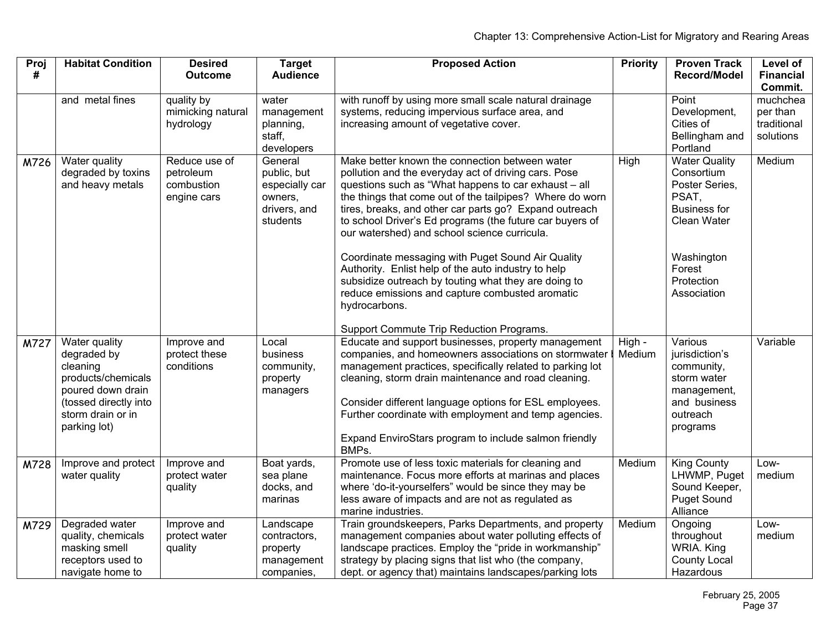| Proj<br># | <b>Habitat Condition</b>                                                                                                                          | <b>Desired</b><br><b>Outcome</b>                        | <b>Target</b><br><b>Audience</b>                                                | <b>Proposed Action</b>                                                                                                                                                                                                                                                                                                                                                                                                                                                                                                                                                                                                                                                               | <b>Priority</b>  | <b>Proven Track</b><br><b>Record/Model</b>                                                                                                               | Level of<br><b>Financial</b><br>Commit.          |
|-----------|---------------------------------------------------------------------------------------------------------------------------------------------------|---------------------------------------------------------|---------------------------------------------------------------------------------|--------------------------------------------------------------------------------------------------------------------------------------------------------------------------------------------------------------------------------------------------------------------------------------------------------------------------------------------------------------------------------------------------------------------------------------------------------------------------------------------------------------------------------------------------------------------------------------------------------------------------------------------------------------------------------------|------------------|----------------------------------------------------------------------------------------------------------------------------------------------------------|--------------------------------------------------|
|           | and metal fines                                                                                                                                   | quality by<br>mimicking natural<br>hydrology            | water<br>management<br>planning,<br>staff.<br>developers                        | with runoff by using more small scale natural drainage<br>systems, reducing impervious surface area, and<br>increasing amount of vegetative cover.                                                                                                                                                                                                                                                                                                                                                                                                                                                                                                                                   |                  | Point<br>Development,<br>Cities of<br>Bellingham and<br>Portland                                                                                         | muchchea<br>per than<br>traditional<br>solutions |
| M726      | Water quality<br>degraded by toxins<br>and heavy metals                                                                                           | Reduce use of<br>petroleum<br>combustion<br>engine cars | General<br>public, but<br>especially car<br>owners,<br>drivers, and<br>students | Make better known the connection between water<br>pollution and the everyday act of driving cars. Pose<br>questions such as "What happens to car exhaust - all<br>the things that come out of the tailpipes? Where do worn<br>tires, breaks, and other car parts go? Expand outreach<br>to school Driver's Ed programs (the future car buyers of<br>our watershed) and school science curricula.<br>Coordinate messaging with Puget Sound Air Quality<br>Authority. Enlist help of the auto industry to help<br>subsidize outreach by touting what they are doing to<br>reduce emissions and capture combusted aromatic<br>hydrocarbons.<br>Support Commute Trip Reduction Programs. | High             | <b>Water Quality</b><br>Consortium<br>Poster Series,<br>PSAT,<br><b>Business for</b><br>Clean Water<br>Washington<br>Forest<br>Protection<br>Association | Medium                                           |
| M727      | Water quality<br>degraded by<br>cleaning<br>products/chemicals<br>poured down drain<br>(tossed directly into<br>storm drain or in<br>parking lot) | Improve and<br>protect these<br>conditions              | Local<br>business<br>community,<br>property<br>managers                         | Educate and support businesses, property management<br>companies, and homeowners associations on stormwater I<br>management practices, specifically related to parking lot<br>cleaning, storm drain maintenance and road cleaning.<br>Consider different language options for ESL employees.<br>Further coordinate with employment and temp agencies.<br>Expand EnviroStars program to include salmon friendly<br>BMPs.                                                                                                                                                                                                                                                              | High -<br>Medium | Various<br>jurisdiction's<br>community,<br>storm water<br>management,<br>and business<br>outreach<br>programs                                            | Variable                                         |
| M728      | Improve and protect<br>water quality                                                                                                              | Improve and<br>protect water<br>quality                 | Boat yards,<br>sea plane<br>docks, and<br>marinas                               | Promote use of less toxic materials for cleaning and<br>maintenance. Focus more efforts at marinas and places<br>where 'do-it-yourselfers" would be since they may be<br>less aware of impacts and are not as regulated as<br>marine industries.                                                                                                                                                                                                                                                                                                                                                                                                                                     | Medium           | <b>King County</b><br>LHWMP, Puget<br>Sound Keeper,<br><b>Puget Sound</b><br>Alliance                                                                    | Low-<br>medium                                   |
| M729      | Degraded water<br>quality, chemicals<br>masking smell<br>receptors used to<br>navigate home to                                                    | Improve and<br>protect water<br>quality                 | Landscape<br>contractors,<br>property<br>management<br>companies,               | Train groundskeepers, Parks Departments, and property<br>management companies about water polluting effects of<br>landscape practices. Employ the "pride in workmanship"<br>strategy by placing signs that list who (the company,<br>dept. or agency that) maintains landscapes/parking lots                                                                                                                                                                                                                                                                                                                                                                                         | Medium           | Ongoing<br>throughout<br>WRIA. King<br>County Local<br>Hazardous                                                                                         | Low-<br>medium                                   |